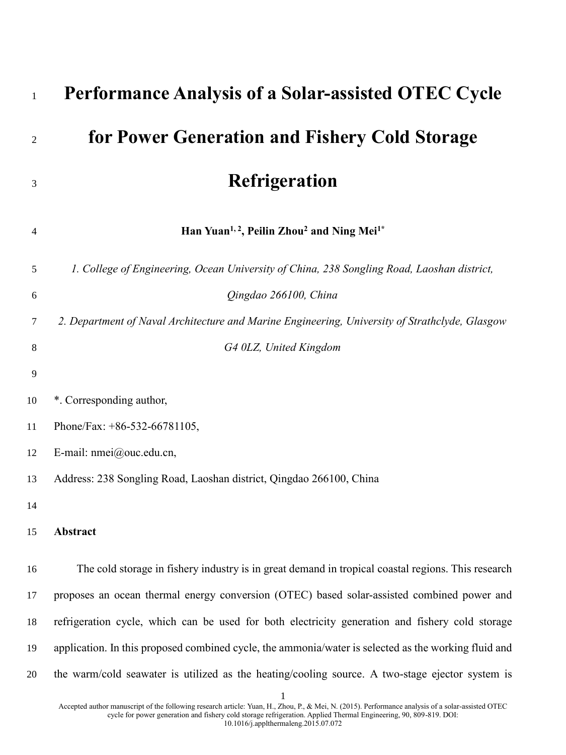| $\mathbf{1}$ | <b>Performance Analysis of a Solar-assisted OTEC Cycle</b>                                           |
|--------------|------------------------------------------------------------------------------------------------------|
| 2            | for Power Generation and Fishery Cold Storage                                                        |
| 3            | <b>Refrigeration</b>                                                                                 |
| 4            | Han Yuan <sup>1, 2</sup> , Peilin Zhou <sup>2</sup> and Ning Mei <sup>1*</sup>                       |
| 5            | 1. College of Engineering, Ocean University of China, 238 Songling Road, Laoshan district,           |
| 6            | Qingdao 266100, China                                                                                |
| 7            | 2. Department of Naval Architecture and Marine Engineering, University of Strathclyde, Glasgow       |
| 8            | G4 0LZ, United Kingdom                                                                               |
| 9            |                                                                                                      |
| 10           | *. Corresponding author,                                                                             |
| 11           | Phone/Fax: $+86-532-66781105$ ,                                                                      |
| 12           | E-mail: nmei@ouc.edu.cn,                                                                             |
| 13           | Address: 238 Songling Road, Laoshan district, Qingdao 266100, China                                  |
| 14           |                                                                                                      |
| 15           | Abstract                                                                                             |
|              |                                                                                                      |
| 16           | The cold storage in fishery industry is in great demand in tropical coastal regions. This research   |
| 17           | proposes an ocean thermal energy conversion (OTEC) based solar-assisted combined power and           |
| 18           | refrigeration cycle, which can be used for both electricity generation and fishery cold storage      |
| 19           | application. In this proposed combined cycle, the ammonia/water is selected as the working fluid and |
| 20           | the warm/cold seawater is utilized as the heating/cooling source. A two-stage ejector system is      |
|              |                                                                                                      |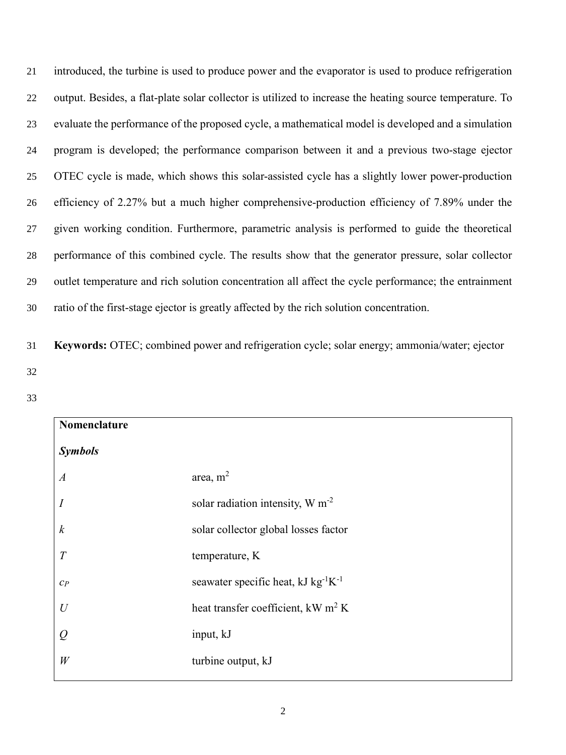introduced, the turbine is used to produce power and the evaporator is used to produce refrigeration output. Besides, a flat-plate solar collector is utilized to increase the heating source temperature. To evaluate the performance of the proposed cycle, a mathematical model is developed and a simulation program is developed; the performance comparison between it and a previous two-stage ejector OTEC cycle is made, which shows this solar-assisted cycle has a slightly lower power-production efficiency of 2.27% but a much higher comprehensive-production efficiency of 7.89% under the given working condition. Furthermore, parametric analysis is performed to guide the theoretical performance of this combined cycle. The results show that the generator pressure, solar collector outlet temperature and rich solution concentration all affect the cycle performance; the entrainment ratio of the first-stage ejector is greatly affected by the rich solution concentration.

31 **Keywords:** OTEC; combined power and refrigeration cycle; solar energy; ammonia/water; ejector 32

| Nomenclature     |                                                |  |  |
|------------------|------------------------------------------------|--|--|
| <b>Symbols</b>   |                                                |  |  |
| $\boldsymbol{A}$ | area, $m2$                                     |  |  |
| $\overline{I}$   | solar radiation intensity, W m <sup>-2</sup>   |  |  |
| $\boldsymbol{k}$ | solar collector global losses factor           |  |  |
| T                | temperature, K                                 |  |  |
| $C_P$            | seawater specific heat, $kJ kg^{-1}K^{-1}$     |  |  |
| $\mathcal{U}$    | heat transfer coefficient, kW m <sup>2</sup> K |  |  |
| Q                | input, kJ                                      |  |  |
| W                | turbine output, kJ                             |  |  |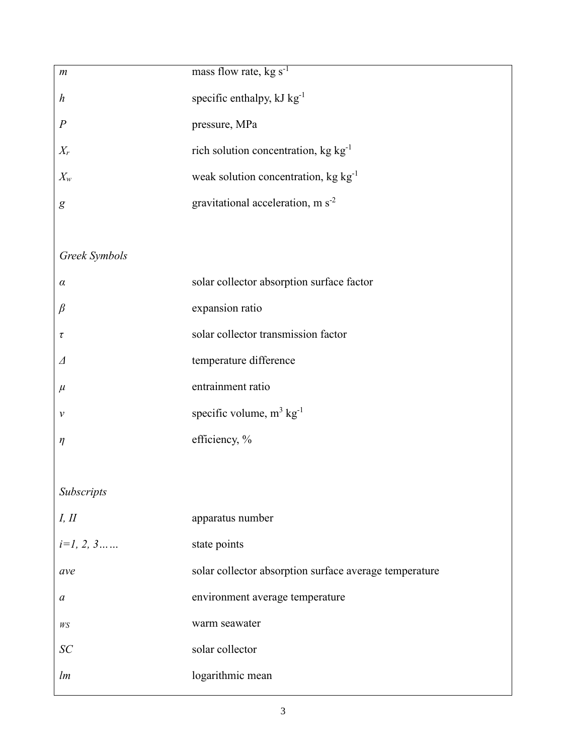| mass flow rate, $kg s-1$                               |
|--------------------------------------------------------|
| specific enthalpy, kJ kg <sup>-1</sup>                 |
| pressure, MPa                                          |
| rich solution concentration, kg kg <sup>-1</sup>       |
| weak solution concentration, kg kg <sup>-1</sup>       |
| gravitational acceleration, m $s^{-2}$                 |
|                                                        |
|                                                        |
| solar collector absorption surface factor              |
| expansion ratio                                        |
| solar collector transmission factor                    |
| temperature difference                                 |
| entrainment ratio                                      |
| specific volume, $m^3$ kg <sup>-1</sup>                |
| efficiency, %                                          |
|                                                        |
|                                                        |
| apparatus number                                       |
| state points                                           |
| solar collector absorption surface average temperature |
| environment average temperature                        |
| warm seawater                                          |
| solar collector                                        |
| logarithmic mean                                       |
|                                                        |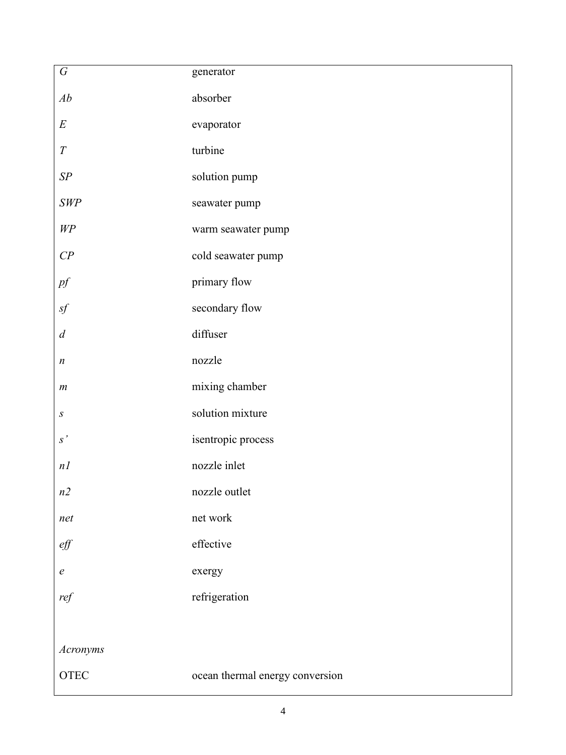| ${\cal G}$          | generator                       |
|---------------------|---------------------------------|
| Ab                  | absorber                        |
| $\cal E$            | evaporator                      |
| $\cal T$            | turbine                         |
| ${\it SP}$          | solution pump                   |
| $\emph{SWP}$        | seawater pump                   |
| $W\!P$              | warm seawater pump              |
| $C\hspace{-0.1cm}P$ | cold seawater pump              |
| $pf$                | primary flow                    |
| $\mathit{sf}$       | secondary flow                  |
| $\boldsymbol{d}$    | diffuser                        |
| $\boldsymbol{n}$    | nozzle                          |
| $\boldsymbol{m}$    | mixing chamber                  |
| $\boldsymbol{S}$    | solution mixture                |
| s'                  | isentropic process              |
| n                   | nozzle inlet                    |
| n2                  | nozzle outlet                   |
| net                 | net work                        |
| $\ell f$            | effective                       |
| $\boldsymbol{e}$    | exergy                          |
| ref                 | refrigeration                   |
|                     |                                 |
| Acronyms            |                                 |
| ${\rm OTEC}$        | ocean thermal energy conversion |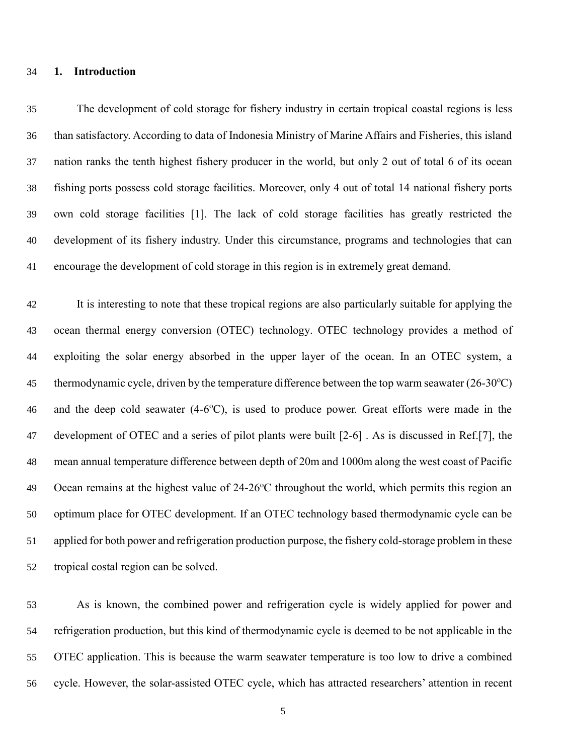### **1. Introduction**

 The development of cold storage for fishery industry in certain tropical coastal regions is less than satisfactory. According to data of Indonesia Ministry of Marine Affairs and Fisheries, this island nation ranks the tenth highest fishery producer in the world, but only 2 out of total 6 of its ocean fishing ports possess cold storage facilities. Moreover, only 4 out of total 14 national fishery ports own cold storage facilities [\[1\]](#page-38-0). The lack of cold storage facilities has greatly restricted the development of its fishery industry. Under this circumstance, programs and technologies that can encourage the development of cold storage in this region is in extremely great demand.

 It is interesting to note that these tropical regions are also particularly suitable for applying the ocean thermal energy conversion (OTEC) technology. OTEC technology provides a method of exploiting the solar energy absorbed in the upper layer of the ocean. In an OTEC system, a 45 thermodynamic cycle, driven by the temperature difference between the top warm seawater  $(26-30^{\circ}\text{C})$ 46 and the deep cold seawater (4-6°C), is used to produce power. Great efforts were made in the development of OTEC and a series of pilot plants were built [\[2-6\]](#page-38-1) . As is discussed in Ref.[\[7\]](#page-38-2), the mean annual temperature difference between depth of 20m and 1000m along the west coast of Pacific 49 Ocean remains at the highest value of 24-26<sup>o</sup>C throughout the world, which permits this region an optimum place for OTEC development. If an OTEC technology based thermodynamic cycle can be applied for both power and refrigeration production purpose, the fishery cold-storage problem in these tropical costal region can be solved.

 As is known, the combined power and refrigeration cycle is widely applied for power and refrigeration production, but this kind of thermodynamic cycle is deemed to be not applicable in the OTEC application. This is because the warm seawater temperature is too low to drive a combined cycle. However, the solar-assisted OTEC cycle, which has attracted researchers' attention in recent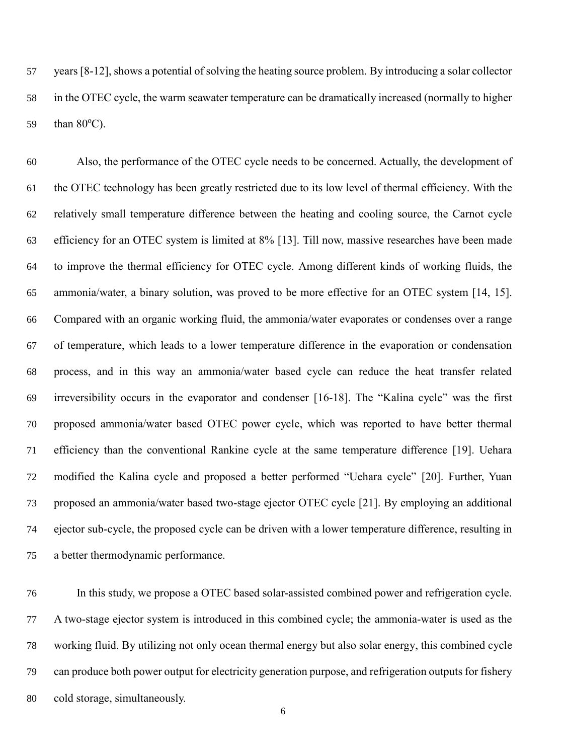years [\[8-12\]](#page-38-3), shows a potential of solving the heating source problem. By introducing a solar collector in the OTEC cycle, the warm seawater temperature can be dramatically increased (normally to higher 59 than  $80^{\circ}$ C).

 Also, the performance of the OTEC cycle needs to be concerned. Actually, the development of the OTEC technology has been greatly restricted due to its low level of thermal efficiency. With the relatively small temperature difference between the heating and cooling source, the Carnot cycle efficiency for an OTEC system is limited at 8% [\[13\]](#page-38-4). Till now, massive researches have been made to improve the thermal efficiency for OTEC cycle. Among different kinds of working fluids, the ammonia/water, a binary solution, was proved to be more effective for an OTEC system [\[14,](#page-38-5) [15\]](#page-39-0). Compared with an organic working fluid, the ammonia/water evaporates or condenses over a range of temperature, which leads to a lower temperature difference in the evaporation or condensation process, and in this way an ammonia/water based cycle can reduce the heat transfer related irreversibility occurs in the evaporator and condenser [\[16-18\]](#page-39-1). The "Kalina cycle" was the first proposed ammonia/water based OTEC power cycle, which was reported to have better thermal efficiency than the conventional Rankine cycle at the same temperature difference [\[19\]](#page-39-2). Uehara modified the Kalina cycle and proposed a better performed "Uehara cycle" [\[20\]](#page-39-3). Further, Yuan proposed an ammonia/water based two-stage ejector OTEC cycle [\[21\]](#page-39-4). By employing an additional ejector sub-cycle, the proposed cycle can be driven with a lower temperature difference, resulting in a better thermodynamic performance.

 In this study, we propose a OTEC based solar-assisted combined power and refrigeration cycle. A two-stage ejector system is introduced in this combined cycle; the ammonia-water is used as the working fluid. By utilizing not only ocean thermal energy but also solar energy, this combined cycle can produce both power output for electricity generation purpose, and refrigeration outputs for fishery cold storage, simultaneously.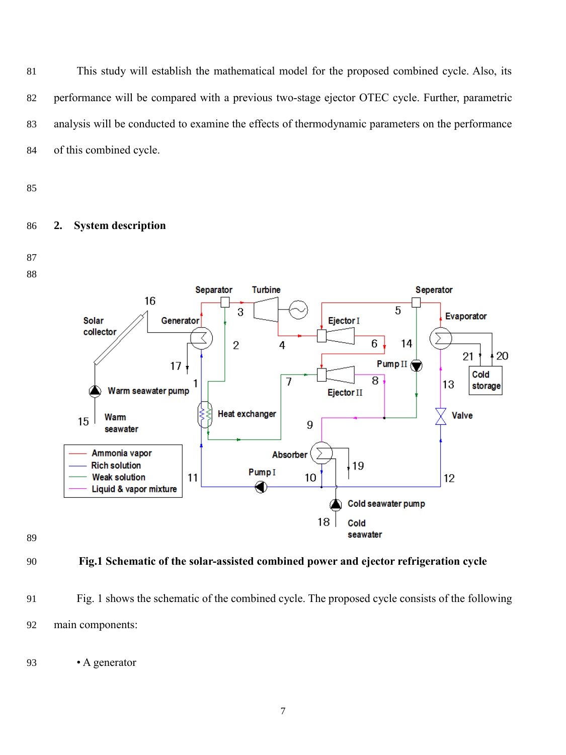This study will establish the mathematical model for the proposed combined cycle. Also, its performance will be compared with a previous two-stage ejector OTEC cycle. Further, parametric analysis will be conducted to examine the effects of thermodynamic parameters on the performance of this combined cycle.

# **2. System description**







- **Fig.1 Schematic of the solar-assisted combined power and ejector refrigeration cycle**
- Fig. 1 shows the schematic of the combined cycle. The proposed cycle consists of the following main components:

• A generator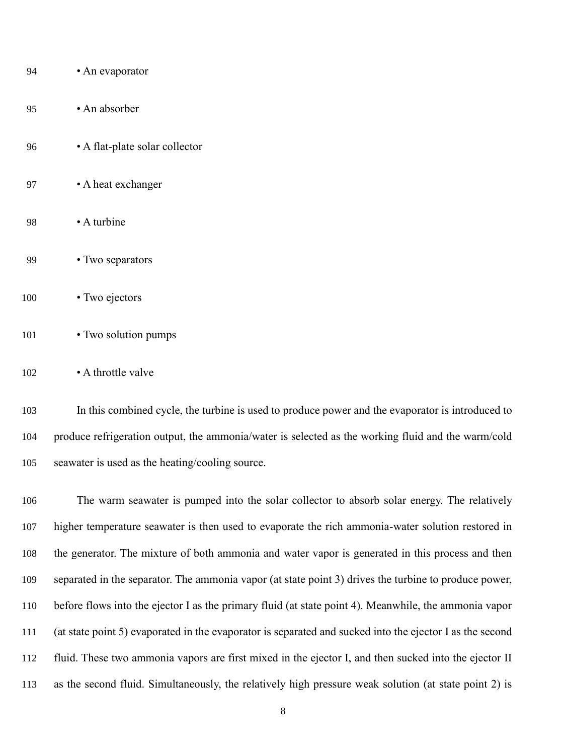| 94  | • An evaporator                |
|-----|--------------------------------|
| 95  | • An absorber                  |
| 96  | • A flat-plate solar collector |
| 97  | • A heat exchanger             |
| 98  | • A turbine                    |
| 99  | • Two separators               |
| 100 | • Two ejectors                 |
| 101 | • Two solution pumps           |

### • A throttle valve

 In this combined cycle, the turbine is used to produce power and the evaporator is introduced to produce refrigeration output, the ammonia/water is selected as the working fluid and the warm/cold seawater is used as the heating/cooling source.

 The warm seawater is pumped into the solar collector to absorb solar energy. The relatively higher temperature seawater is then used to evaporate the rich ammonia-water solution restored in the generator. The mixture of both ammonia and water vapor is generated in this process and then separated in the separator. The ammonia vapor (at state point 3) drives the turbine to produce power, before flows into the ejector I as the primary fluid (at state point 4). Meanwhile, the ammonia vapor (at state point 5) evaporated in the evaporator is separated and sucked into the ejector I as the second fluid. These two ammonia vapors are first mixed in the ejector I, and then sucked into the ejector II as the second fluid. Simultaneously, the relatively high pressure weak solution (at state point 2) is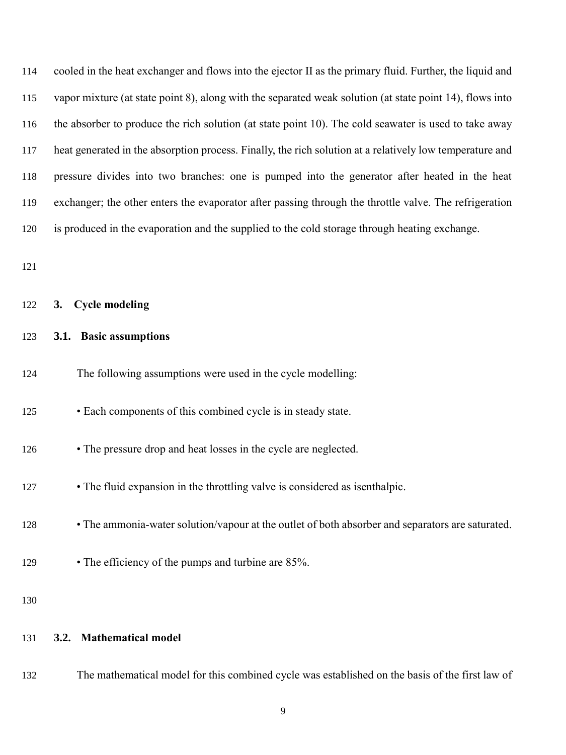cooled in the heat exchanger and flows into the ejector II as the primary fluid. Further, the liquid and vapor mixture (at state point 8), along with the separated weak solution (at state point 14), flows into the absorber to produce the rich solution (at state point 10). The cold seawater is used to take away heat generated in the absorption process. Finally, the rich solution at a relatively low temperature and pressure divides into two branches: one is pumped into the generator after heated in the heat exchanger; the other enters the evaporator after passing through the throttle valve. The refrigeration is produced in the evaporation and the supplied to the cold storage through heating exchange.

| 122 | 3. | <b>Cycle modeling</b> |
|-----|----|-----------------------|
|     |    |                       |

### **3.1. Basic assumptions**

| 124 |  |  | The following assumptions were used in the cycle modelling: |
|-----|--|--|-------------------------------------------------------------|
|-----|--|--|-------------------------------------------------------------|

- Each components of this combined cycle is in steady state.
- The pressure drop and heat losses in the cycle are neglected.
- The fluid expansion in the throttling valve is considered as isenthalpic.
- The ammonia-water solution/vapour at the outlet of both absorber and separators are saturated.
- The efficiency of the pumps and turbine are 85%.

### **3.2. Mathematical model**

The mathematical model for this combined cycle was established on the basis of the first law of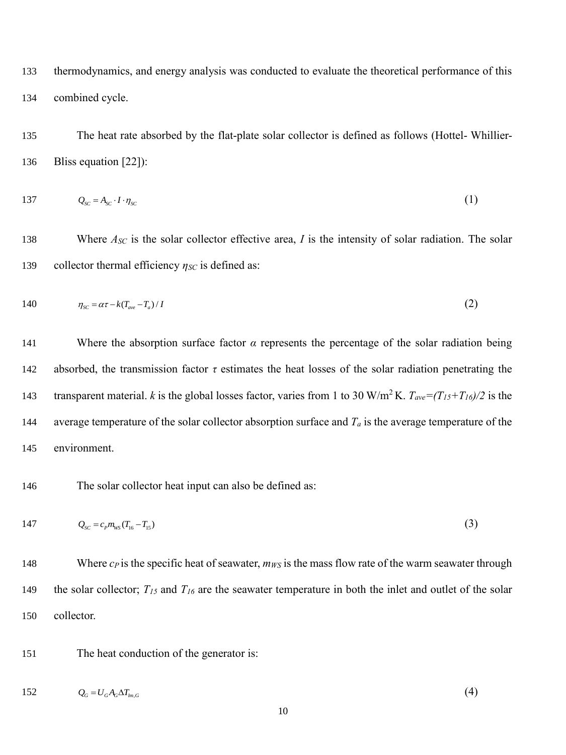133 thermodynamics, and energy analysis was conducted to evaluate the theoretical performance of this 134 combined cycle.

135 The heat rate absorbed by the flat-plate solar collector is defined as follows (Hottel- Whillier-136 Bliss equation [\[22\]](#page-39-5)):

$$
137 \tQ_{sc} = A_{sc} \cdot I \cdot \eta_{sc} \t\t(1)
$$

138 Where  $A_{SC}$  is the solar collector effective area, *I* is the intensity of solar radiation. The solar 139 collector thermal efficiency *ηSC* is defined as:

$$
140 \qquad \eta_{sc} = \alpha \tau - k (T_{ave} - T_a) / I \tag{2}
$$

141 Where the absorption surface factor *α* represents the percentage of the solar radiation being 142 absorbed, the transmission factor *τ* estimates the heat losses of the solar radiation penetrating the transparent material. *k* is the global losses factor, varies from 1 to 30 W/m<sup>2</sup>K.  $T_{ave} = (T_{15} + T_{16})/2$  is the 144 average temperature of the solar collector absorption surface and  $T_a$  is the average temperature of the 145 environment.

146 The solar collector heat input can also be defined as:

147 
$$
Q_{sc} = c_p m_{ws} (T_{16} - T_{15})
$$
 (3)

148 Where *c<sub>P</sub>* is the specific heat of seawater, *m<sub>WS</sub>* is the mass flow rate of the warm seawater through 149 the solar collector;  $T_{15}$  and  $T_{16}$  are the seawater temperature in both the inlet and outlet of the solar 150 collector.

151 The heat conduction of the generator is:

$$
152 \tQG = UG AG \Delta Tlm,G
$$
\t(4)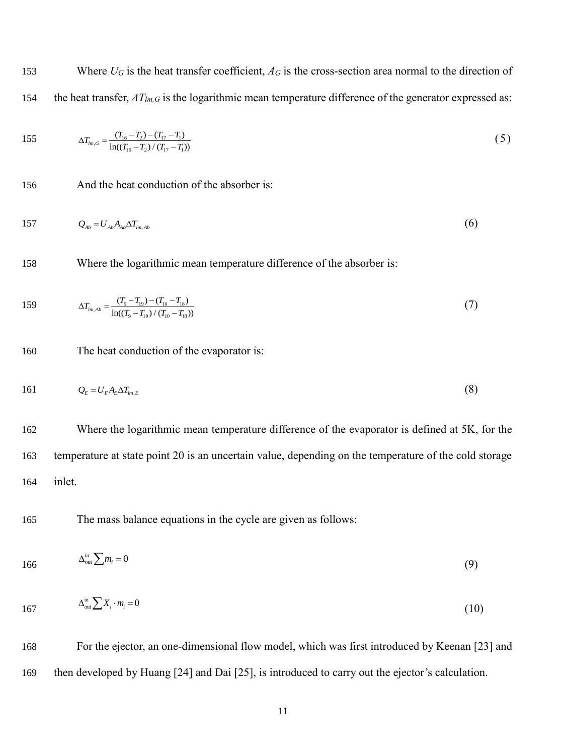153 Where  $U_G$  is the heat transfer coefficient,  $A_G$  is the cross-section area normal to the direction of 154 the heat transfer, *ΔTlm,G* is the logarithmic mean temperature difference of the generator expressed as:

155 
$$
\Delta T_{lm,G} = \frac{(T_{16} - T_2) - (T_{17} - T_1)}{\ln((T_{16} - T_2) / (T_{17} - T_1))}
$$
(5)

156 And the heat conduction of the absorber is:

$$
157 \tQ_{ab} = U_{ab} A_{ab} \Delta T_{lm,ab} \t\t(6)
$$

158 Where the logarithmic mean temperature difference of the absorber is:

159 
$$
\Delta T_{lm,Ab} = \frac{(T_9 - T_{19}) - (T_{10} - T_{18})}{\ln((T_9 - T_{19}) / (T_{10} - T_{18}))}
$$
(7)

160 The heat conduction of the evaporator is:

$$
161 \tQ_E = U_E A_E \Delta T_{im,E} \t\t(8)
$$

162 Where the logarithmic mean temperature difference of the evaporator is defined at 5K, for the 163 temperature at state point 20 is an uncertain value, depending on the temperature of the cold storage 164 inlet.

165 The mass balance equations in the cycle are given as follows:

$$
166 \qquad \qquad \Delta_{\text{out}}^{\text{in}} \sum m_i = 0 \tag{9}
$$

$$
167 \qquad \qquad \Delta_{\text{out}}^{\text{in}} \sum X_i \cdot m_i = 0 \tag{10}
$$

168 For the ejector, an one-dimensional flow model, which was first introduced by Keenan [\[23\]](#page-39-6) and 169 then developed by Huang [\[24\]](#page-39-7) and Dai [\[25\]](#page-39-8), is introduced to carry out the ejector's calculation.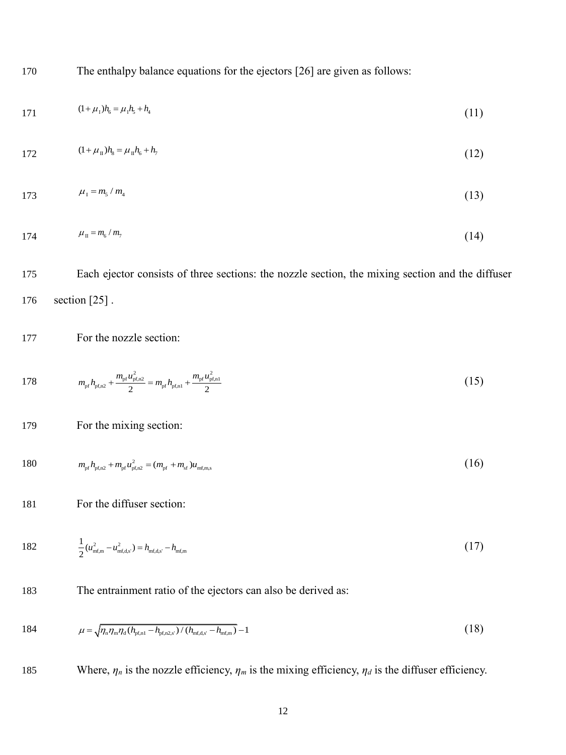170 The enthalpy balance equations for the ejectors [\[26\]](#page-39-9) are given as follows:

$$
171 \t\t (1+\mu_1)h_6 = \mu_1h_5 + h_4 \t\t (11)
$$

$$
172 \t(1 + \mu_{\rm H})h_{\rm s} = \mu_{\rm H}h_{\rm s} + h_{\rm r} \t(12)
$$

$$
173 \t \mu_1 = m_5 / m_4 \t (13)
$$

$$
174 \qquad \qquad \mu_{\rm II} = m_{\rm 6} / m_{\rm 7} \tag{14}
$$

175 Each ejector consists of three sections: the nozzle section, the mixing section and the diffuser 176 section [\[25\]](#page-39-8) .

177 For the nozzle section:

178 
$$
m_{\rm pf}h_{\rm pf,n2} + \frac{m_{\rm pf}u_{\rm pf,n2}^2}{2} = m_{\rm pf}h_{\rm pf,n1} + \frac{m_{\rm pf}u_{\rm pf,n1}^2}{2}
$$
 (15)

179 For the mixing section:

180 
$$
m_{\rm pf}h_{\rm pf,n2} + m_{\rm pf}u_{\rm pf,n2}^2 = (m_{\rm pf} + m_{\rm sf})u_{\rm mfm,s}
$$
 (16)

181 For the diffuser section:

182 
$$
\frac{1}{2}(u_{\text{mf,m}}^2 - u_{\text{mf,d,s'}}^2) = h_{\text{mf,d,s'}} - h_{\text{mf,m}} \tag{17}
$$

183 The entrainment ratio of the ejectors can also be derived as:

184 
$$
\mu = \sqrt{n_n n_m \eta_d (h_{\text{pf},nl} - h_{\text{pf},n2,s'})/(h_{\text{mf},d,s'} - h_{\text{mf},m})} - 1
$$
 (18)

185 Where,  $\eta_n$  is the nozzle efficiency,  $\eta_m$  is the mixing efficiency,  $\eta_d$  is the diffuser efficiency.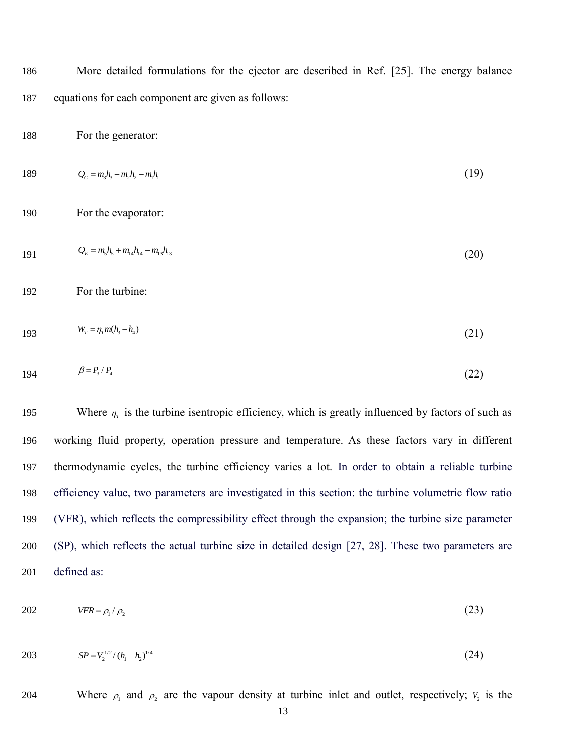186 More detailed formulations for the ejector are described in Ref. [\[25\]](#page-39-8). The energy balance 187 equations for each component are given as follows:

188 For the generator:

189 
$$
Q_G = m_3 h_3 + m_2 h_2 - m_1 h_1
$$
 (19)

190 For the evaporator:

$$
Q_E = m_5 h_5 + m_{14} h_{14} - m_{13} h_{13} \tag{20}
$$

192 For the turbine:

$$
W_r = \eta_r m(h_3 - h_4) \tag{21}
$$

$$
194 \qquad \qquad \beta = P_{3} / P_{4} \tag{22}
$$

195 Where  $\eta_r$  is the turbine isentropic efficiency, which is greatly influenced by factors of such as working fluid property, operation pressure and temperature. As these factors vary in different thermodynamic cycles, the turbine efficiency varies a lot. In order to obtain a reliable turbine efficiency value, two parameters are investigated in this section: the turbine volumetric flow ratio (VFR), which reflects the compressibility effect through the expansion; the turbine size parameter (SP), which reflects the actual turbine size in detailed design [\[27,](#page-39-10) [28\]](#page-39-11). These two parameters are defined as:

$$
VFR = \rho_1 / \rho_2 \tag{23}
$$

203 
$$
SP = V_2^{1/2} / (h_1 - h_2)^{1/4}
$$
 (24)

204 Where  $\rho_1$  and  $\rho_2$  are the vapour density at turbine inlet and outlet, respectively;  $V_2$  is the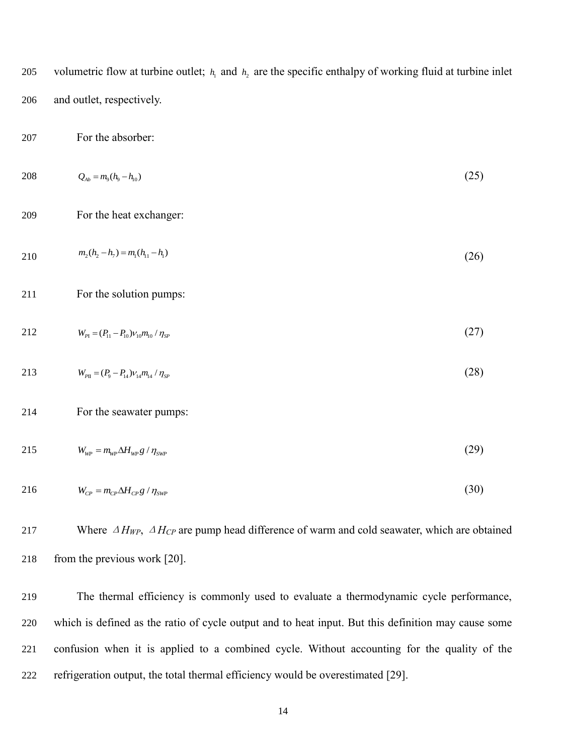volumetric flow at turbine outlet;  $h_1$  and  $h_2$  are the specific enthalpy of working fluid at turbine inlet 205 206 and outlet, respectively.

207 For the absorber:

- $Q_{\text{Ab}} = m_{9} (h_{9} h_{10})$ 208 (25)
- 209 For the heat exchanger:
- 2 10  $m_2(h_2 h_7) = m_1(h_{11} h_1)$  (26)
- 211 For the solution pumps:
- $W_{p_1} = (P_{11} P_{10})v_{10}m_{10}/\eta_{SP}$ 212 (27)
- $W_{p_{\text{II}}} = (P_{9} P_{14}) \nu_{14} m_{14} / \eta_{SP}$ 213 (28)

### 214 For the seawater pumps:

 $W_{WP} = m_{WP} \Delta H_{WP} g / \eta_{SWP}$ 215 (29)

$$
216 \t W_{CP} = m_{CP} \Delta H_{CP} g / \eta_{SWP} \t\t (30)
$$

217 Where <sup>Δ</sup>*HWP*, <sup>Δ</sup>*HCP* are pump head difference of warm and cold seawater, which are obtained 218 from the previous work [\[20\]](#page-39-3).

 The thermal efficiency is commonly used to evaluate a thermodynamic cycle performance, which is defined as the ratio of cycle output and to heat input. But this definition may cause some confusion when it is applied to a combined cycle. Without accounting for the quality of the refrigeration output, the total thermal efficiency would be overestimated [\[29\]](#page-39-12).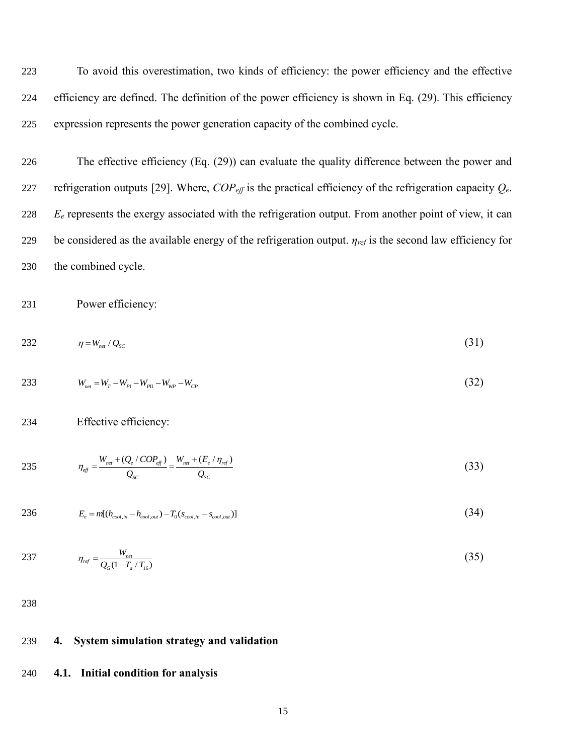223 To avoid this overestimation, two kinds of efficiency: the power efficiency and the effective 224 efficiency are defined. The definition of the power efficiency is shown in Eq. (29). This efficiency 225 expression represents the power generation capacity of the combined cycle.

 The effective efficiency (Eq. (29)) can evaluate the quality difference between the power and 227 refrigeration outputs [\[29\]](#page-39-12). Where,  $COP<sub>eff</sub>$  is the practical efficiency of the refrigeration capacity  $Q<sub>e</sub>$ . *E<sub>e</sub>* represents the exergy associated with the refrigeration output. From another point of view, it can be considered as the available energy of the refrigeration output. *ηref* is the second law efficiency for the combined cycle.

231 Power efficiency:

$$
232 \qquad \eta = W_{net}/Q_{SC} \qquad (31)
$$

233 
$$
W_{net} = W_r - W_{p1} - W_{p1} - W_{wp} - W_{cp}
$$
 (32)

234 Effective efficiency:

235 
$$
\eta_{\text{eff}} = \frac{W_{\text{net}} + (Q_e / COP_{\text{eff}})}{Q_{\text{SC}}} = \frac{W_{\text{net}} + (E_e / \eta_{\text{ref}})}{Q_{\text{SC}}}
$$
(33)

236 
$$
E_e = m[(h_{cool,in} - h_{cool,out}) - T_0(s_{cool,in} - s_{cool,out})]
$$
 (34)

237 
$$
\eta_{ref} = \frac{W_{net}}{Q_G(1 - T_a / T_{16})}
$$
(35)

238

# 239 **4. System simulation strategy and validation**

### 240 **4.1. Initial condition for analysis**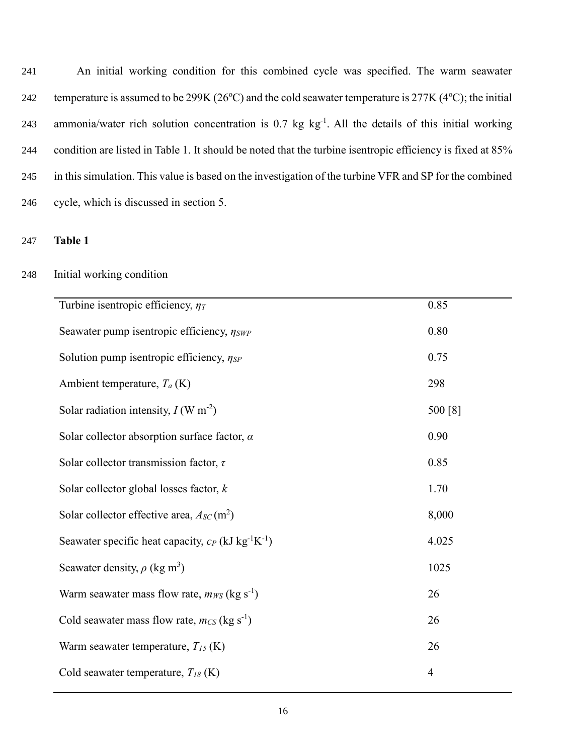An initial working condition for this combined cycle was specified. The warm seawater 242 temperature is assumed to be 299K ( $26^{\circ}$ C) and the cold seawater temperature is 277K ( $4^{\circ}$ C); the initial 243 ammonia/water rich solution concentration is  $0.7 \text{ kg kg}^{-1}$ . All the details of this initial working condition are listed in Table 1. It should be noted that the turbine isentropic efficiency is fixed at 85% in this simulation. This value is based on the investigation of the turbine VFR and SP for the combined cycle, which is discussed in section 5.

247 **Table 1**

# 248 Initial working condition

| Turbine is entropic efficiency, $\eta_T$                                      | 0.85           |
|-------------------------------------------------------------------------------|----------------|
| Seawater pump is entropic efficiency, $\eta_{SWP}$                            | 0.80           |
| Solution pump is entropic efficiency, $\eta_{SP}$                             | 0.75           |
| Ambient temperature, $T_a$ (K)                                                | 298            |
| Solar radiation intensity, $I(W \text{ m}^{-2})$                              | 500 [8]        |
| Solar collector absorption surface factor, $\alpha$                           | 0.90           |
| Solar collector transmission factor, $\tau$                                   | 0.85           |
| Solar collector global losses factor, $k$                                     | 1.70           |
| Solar collector effective area, $A_{SC}$ (m <sup>2</sup> )                    | 8,000          |
| Seawater specific heat capacity, $c_P$ (kJ kg <sup>-1</sup> K <sup>-1</sup> ) | 4.025          |
| Seawater density, $\rho$ (kg m <sup>3</sup> )                                 | 1025           |
| Warm seawater mass flow rate, $m_{WS}$ (kg s <sup>-1</sup> )                  | 26             |
| Cold seawater mass flow rate, $m_{CS}$ (kg s <sup>-1</sup> )                  | 26             |
| Warm seawater temperature, $T_{15}$ (K)                                       | 26             |
| Cold seawater temperature, $T_{18}$ (K)                                       | $\overline{4}$ |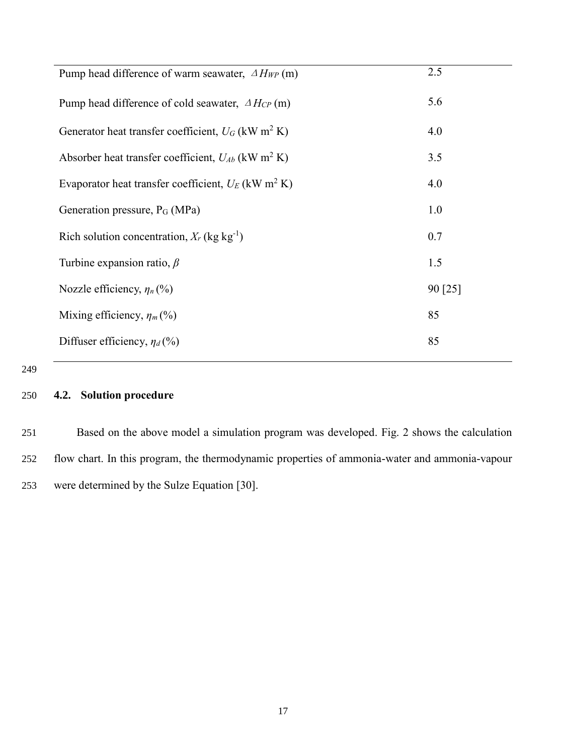| Pump head difference of warm seawater, $\Delta H_{WP}$ (m)         | 2.5     |
|--------------------------------------------------------------------|---------|
| Pump head difference of cold seawater, $\Delta H_{CP}$ (m)         | 5.6     |
| Generator heat transfer coefficient, $U_G$ (kW m <sup>2</sup> K)   | 4.0     |
| Absorber heat transfer coefficient, $U_{Ab}$ (kW m <sup>2</sup> K) | 3.5     |
| Evaporator heat transfer coefficient, $U_E$ (kW m <sup>2</sup> K)  | 4.0     |
| Generation pressure, P <sub>G</sub> (MPa)                          | 1.0     |
| Rich solution concentration, $X_r$ (kg kg <sup>-1</sup> )          | 0.7     |
| Turbine expansion ratio, $\beta$                                   | 1.5     |
| Nozzle efficiency, $\eta_n(\%)$                                    | 90 [25] |
| Mixing efficiency, $\eta_m$ (%)                                    | 85      |
| Diffuser efficiency, $\eta_d$ (%)                                  | 85      |

# 250 **4.2. Solution procedure**

251 Based on the above model a simulation program was developed. Fig. 2 shows the calculation 252 flow chart. In this program, the thermodynamic properties of ammonia-water and ammonia-vapour 253 were determined by the Sulze Equation [\[30\]](#page-39-13).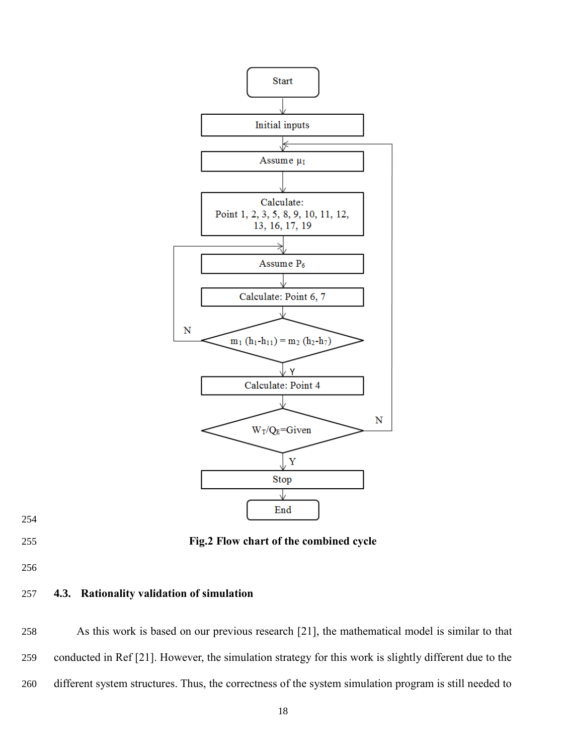



**Fig.2 Flow chart of the combined cycle**

# **4.3. Rationality validation of simulation**

 As this work is based on our previous research [\[21\]](#page-39-4), the mathematical model is similar to that conducted in Ref [\[21\]](#page-39-4). However, the simulation strategy for this work is slightly different due to the different system structures. Thus, the correctness of the system simulation program is still needed to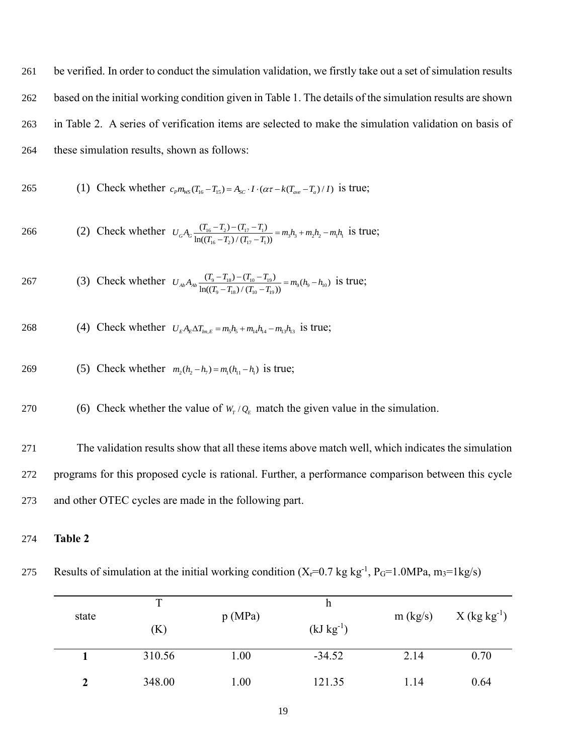be verified. In order to conduct the simulation validation, we firstly take out a set of simulation results based on the initial working condition given in Table 1. The details of the simulation results are shown in Table 2. A series of verification items are selected to make the simulation validation on basis of these simulation results, shown as follows:

265 (1) Check whether 
$$
c_p m_{ws}(T_{16} - T_{15}) = A_{sc} \cdot I \cdot (\alpha \tau - k(T_{ave} - T_a)/I)
$$
 is true;

266 (2) Check whether 
$$
U_G A_G \frac{(T_{16} - T_2) - (T_{17} - T_1)}{\ln((T_{16} - T_2) / (T_{17} - T_1))} = m_3 h_3 + m_2 h_2 - m_1 h_1
$$
 is true;

267 (3) Check whether 
$$
U_{Ab}A_{Ab}\frac{(T_9 - T_{18}) - (T_{10} - T_{19})}{\ln((T_9 - T_{18})/(T_{10} - T_{19}))} = m_9(h_9 - h_{10})
$$
 is true;

268 (4) Check whether 
$$
U_E A_E \Delta T_{lm,E} = m_5 h_5 + m_{14} h_{14} - m_{13} h_{13}
$$
 is true;

269 (5) Check whether 
$$
m_2(h_2 - h_7) = m_1(h_{11} - h_1)
$$
 is true;

(6) Check whether the value of  $W_T/Q_E$  match the given value in the simulation. 270

271 The validation results show that all these items above match well, which indicates the simulation 272 programs for this proposed cycle is rational. Further, a performance comparison between this cycle 273 and other OTEC cycles are made in the following part.

## 274 **Table 2**

275 Results of simulation at the initial working condition  $(X_f=0.7 \text{ kg kg}^{-1}, P_G=1.0 \text{ MPa}, m_3=1 \text{ kg/s})$ 

| state | т<br>(K) | p(MPa) | h<br>$(kJ kg^{-1})$ | m (kg/s) | $X$ (kg kg <sup>-1</sup> ) |
|-------|----------|--------|---------------------|----------|----------------------------|
|       | 310.56   | 1.00   | $-34.52$            | 2.14     | 0.70                       |
|       | 348.00   | 1.00   | 121.35              | 1.14     | 0.64                       |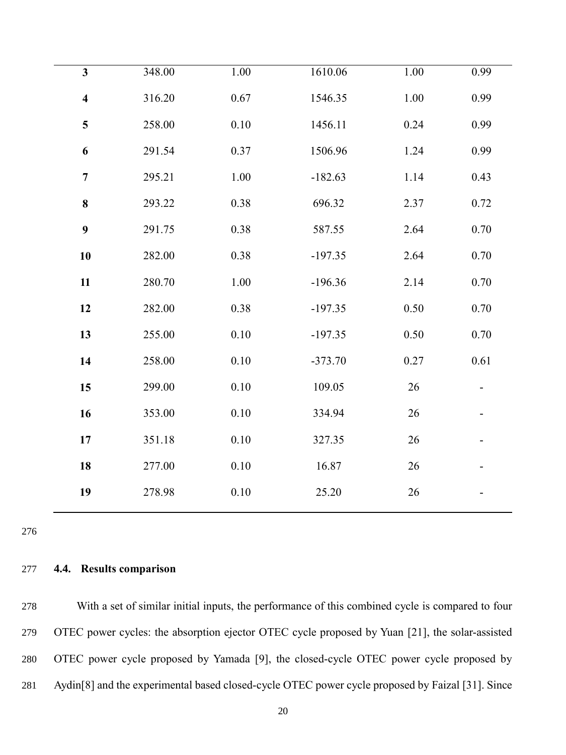| $\mathbf{3}$            | 348.00 | $1.00\,$ | 1610.06   | 1.00     | 0.99     |
|-------------------------|--------|----------|-----------|----------|----------|
| $\overline{\mathbf{4}}$ | 316.20 | 0.67     | 1546.35   | 1.00     | 0.99     |
| $\overline{\mathbf{5}}$ | 258.00 | $0.10\,$ | 1456.11   | 0.24     | 0.99     |
| 6                       | 291.54 | 0.37     | 1506.96   | 1.24     | 0.99     |
| $\boldsymbol{7}$        | 295.21 | $1.00\,$ | $-182.63$ | 1.14     | 0.43     |
| 8                       | 293.22 | $0.38\,$ | 696.32    | 2.37     | 0.72     |
| $\boldsymbol{9}$        | 291.75 | 0.38     | 587.55    | 2.64     | 0.70     |
| 10                      | 282.00 | 0.38     | $-197.35$ | 2.64     | 0.70     |
| 11                      | 280.70 | 1.00     | $-196.36$ | 2.14     | 0.70     |
| 12                      | 282.00 | 0.38     | $-197.35$ | 0.50     | 0.70     |
| 13                      | 255.00 | $0.10\,$ | $-197.35$ | $0.50\,$ | $0.70\,$ |
| 14                      | 258.00 | 0.10     | $-373.70$ | 0.27     | 0.61     |
| 15                      | 299.00 | $0.10\,$ | 109.05    | $26\,$   |          |
| 16                      | 353.00 | 0.10     | 334.94    | 26       |          |
| 17                      | 351.18 | 0.10     | 327.35    | 26       |          |
| 18                      | 277.00 | $0.10\,$ | 16.87     | 26       |          |
| 19                      | 278.98 | $0.10\,$ | 25.20     | 26       |          |
|                         |        |          |           |          |          |

# **4.4. Results comparison**

 With a set of similar initial inputs, the performance of this combined cycle is compared to four OTEC power cycles: the absorption ejector OTEC cycle proposed by Yuan [\[21\]](#page-39-4), the solar-assisted OTEC power cycle proposed by Yamada [\[9\]](#page-38-6), the closed-cycle OTEC power cycle proposed by Aydin[\[8\]](#page-38-3) and the experimental based closed-cycle OTEC power cycle proposed by Faizal [\[31\]](#page-39-14). Since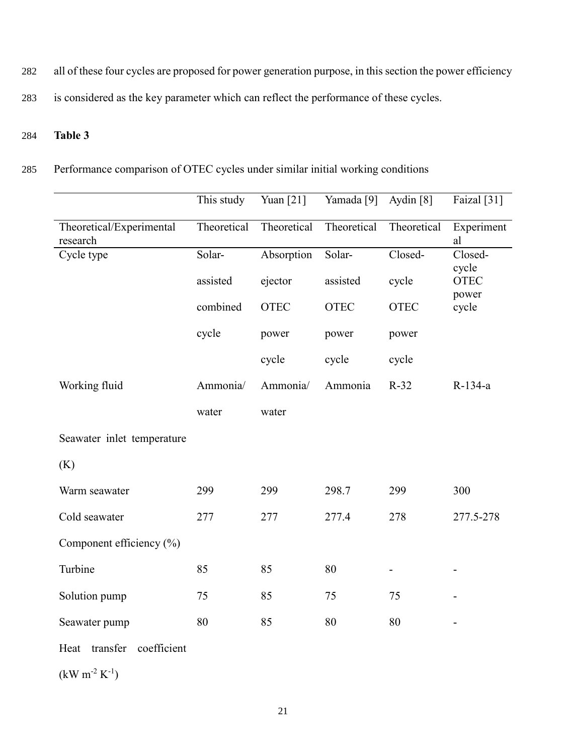282 all of these four cycles are proposed for power generation purpose, in this section the power efficiency

283 is considered as the key parameter which can reflect the performance of these cycles.

# 284 **Table 3**

285 Performance comparison of OTEC cycles under similar initial working conditions

|                                      | This study  | Yuan [21]   | Yamada <sup>[9]</sup> | Aydin $[8]$              | Faizal [31]                   |
|--------------------------------------|-------------|-------------|-----------------------|--------------------------|-------------------------------|
| Theoretical/Experimental<br>research | Theoretical | Theoretical | Theoretical           | Theoretical              | Experiment<br>al              |
| Cycle type                           | Solar-      | Absorption  | Solar-                | Closed-                  | Closed-                       |
|                                      | assisted    | ejector     | assisted              | cycle                    | cycle<br><b>OTEC</b><br>power |
|                                      | combined    | <b>OTEC</b> | <b>OTEC</b>           | <b>OTEC</b>              | cycle                         |
|                                      | cycle       | power       | power                 | power                    |                               |
|                                      |             | cycle       | cycle                 | cycle                    |                               |
| Working fluid                        | Ammonia/    | Ammonia/    | Ammonia               | $R-32$                   | R-134-a                       |
|                                      | water       | water       |                       |                          |                               |
| Seawater inlet temperature           |             |             |                       |                          |                               |
| (K)                                  |             |             |                       |                          |                               |
| Warm seawater                        | 299         | 299         | 298.7                 | 299                      | 300                           |
| Cold seawater                        | 277         | 277         | 277.4                 | 278                      | 277.5-278                     |
| Component efficiency (%)             |             |             |                       |                          |                               |
| Turbine                              | 85          | 85          | 80                    | $\overline{\phantom{0}}$ |                               |
| Solution pump                        | 75          | 85          | 75                    | 75                       |                               |
| Seawater pump                        | 80          | 85          | 80                    | 80                       | $\overline{a}$                |
| coefficient<br>transfer<br>Heat      |             |             |                       |                          |                               |
| $(kW m-2 K-1)$                       |             |             |                       |                          |                               |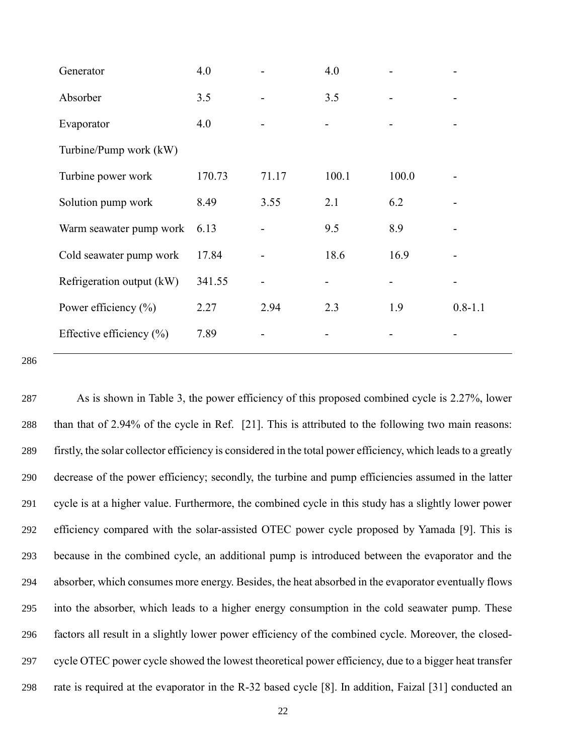| Generator                    | 4.0    |       | 4.0   |       |             |
|------------------------------|--------|-------|-------|-------|-------------|
| Absorber                     | 3.5    |       | 3.5   |       |             |
| Evaporator                   | 4.0    |       |       |       |             |
| Turbine/Pump work (kW)       |        |       |       |       |             |
| Turbine power work           | 170.73 | 71.17 | 100.1 | 100.0 |             |
| Solution pump work           | 8.49   | 3.55  | 2.1   | 6.2   |             |
| Warm seawater pump work      | 6.13   |       | 9.5   | 8.9   |             |
| Cold seawater pump work      | 17.84  |       | 18.6  | 16.9  |             |
| Refrigeration output (kW)    | 341.55 |       |       |       |             |
| Power efficiency $(\% )$     | 2.27   | 2.94  | 2.3   | 1.9   | $0.8 - 1.1$ |
| Effective efficiency $(\% )$ | 7.89   |       |       |       |             |

 As is shown in Table 3, the power efficiency of this proposed combined cycle is 2.27%, lower than that of 2.94% of the cycle in Ref. [\[21\]](#page-39-4). This is attributed to the following two main reasons: firstly, the solar collector efficiency is considered in the total power efficiency, which leads to a greatly decrease of the power efficiency; secondly, the turbine and pump efficiencies assumed in the latter cycle is at a higher value. Furthermore, the combined cycle in this study has a slightly lower power efficiency compared with the solar-assisted OTEC power cycle proposed by Yamada [\[9\]](#page-38-6). This is because in the combined cycle, an additional pump is introduced between the evaporator and the absorber, which consumes more energy. Besides, the heat absorbed in the evaporator eventually flows into the absorber, which leads to a higher energy consumption in the cold seawater pump. These factors all result in a slightly lower power efficiency of the combined cycle. Moreover, the closed- cycle OTEC power cycle showed the lowest theoretical power efficiency, due to a bigger heat transfer rate is required at the evaporator in the R-32 based cycle [\[8\]](#page-38-3). In addition, Faizal [\[31\]](#page-39-14) conducted an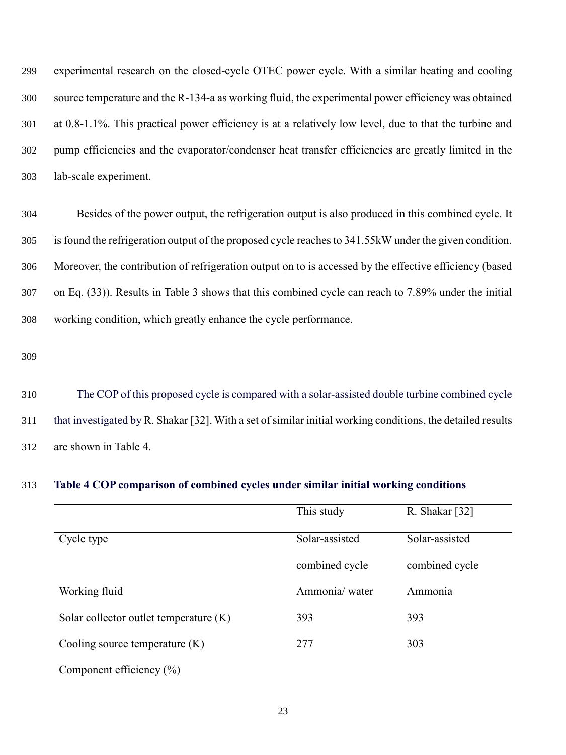experimental research on the closed-cycle OTEC power cycle. With a similar heating and cooling source temperature and the R-134-a as working fluid, the experimental power efficiency was obtained at 0.8-1.1%. This practical power efficiency is at a relatively low level, due to that the turbine and pump efficiencies and the evaporator/condenser heat transfer efficiencies are greatly limited in the lab-scale experiment.

 Besides of the power output, the refrigeration output is also produced in this combined cycle. It is found the refrigeration output of the proposed cycle reaches to 341.55kW under the given condition. Moreover, the contribution of refrigeration output on to is accessed by the effective efficiency (based on Eq. (33)). Results in Table 3 shows that this combined cycle can reach to 7.89% under the initial working condition, which greatly enhance the cycle performance.

 The COP of this proposed cycle is compared with a solar-assisted double turbine combined cycle that investigated by R. Shakar [\[32\]](#page-39-15). With a set of similar initial working conditions, the detailed results are shown in Table 4.

### **Table 4 COP comparison of combined cycles under similar initial working conditions**

|                                          | This study     | R. Shakar [32] |
|------------------------------------------|----------------|----------------|
| Cycle type                               | Solar-assisted | Solar-assisted |
|                                          | combined cycle | combined cycle |
| Working fluid                            | Ammonia/water  | Ammonia        |
| Solar collector outlet temperature $(K)$ | 393            | 393            |
| Cooling source temperature $(K)$         | 277            | 303            |
| Component efficiency $(\% )$             |                |                |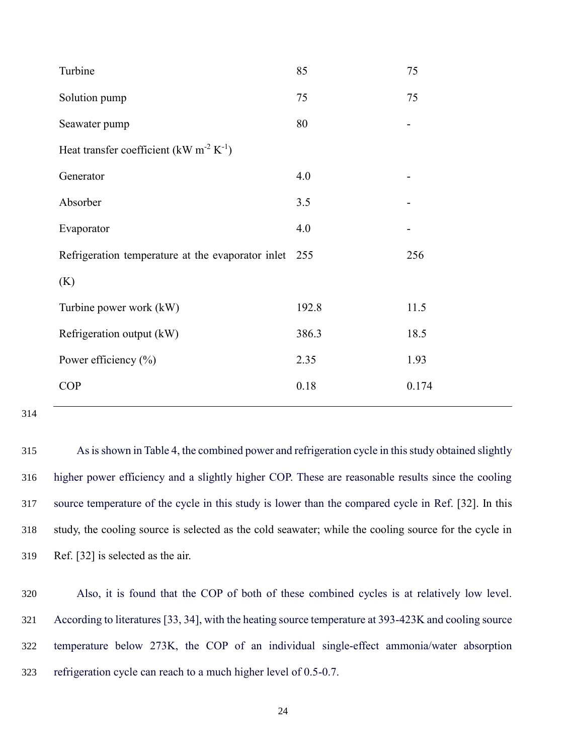| Turbine                                                         | 85    | 75    |  |  |  |  |
|-----------------------------------------------------------------|-------|-------|--|--|--|--|
| Solution pump                                                   | 75    | 75    |  |  |  |  |
| Seawater pump                                                   | 80    | -     |  |  |  |  |
| Heat transfer coefficient (kW m <sup>-2</sup> K <sup>-1</sup> ) |       |       |  |  |  |  |
| Generator                                                       | 4.0   |       |  |  |  |  |
| Absorber                                                        | 3.5   |       |  |  |  |  |
| Evaporator                                                      | 4.0   |       |  |  |  |  |
| Refrigeration temperature at the evaporator inlet               | 255   | 256   |  |  |  |  |
| (K)                                                             |       |       |  |  |  |  |
| Turbine power work (kW)                                         | 192.8 | 11.5  |  |  |  |  |
| Refrigeration output (kW)                                       | 386.3 | 18.5  |  |  |  |  |
| Power efficiency $(\%)$                                         | 2.35  | 1.93  |  |  |  |  |
| <b>COP</b>                                                      | 0.18  | 0.174 |  |  |  |  |
|                                                                 |       |       |  |  |  |  |

 As is shown in Table 4, the combined power and refrigeration cycle in this study obtained slightly higher power efficiency and a slightly higher COP. These are reasonable results since the cooling source temperature of the cycle in this study is lower than the compared cycle in Ref. [\[32\]](#page-39-15). In this study, the cooling source is selected as the cold seawater; while the cooling source for the cycle in Ref. [\[32\]](#page-39-15) is selected as the air.

 Also, it is found that the COP of both of these combined cycles is at relatively low level. According to literatures [\[33,](#page-39-16) [34\]](#page-39-17), with the heating source temperature at 393-423K and cooling source temperature below 273K, the COP of an individual single-effect ammonia/water absorption refrigeration cycle can reach to a much higher level of 0.5-0.7.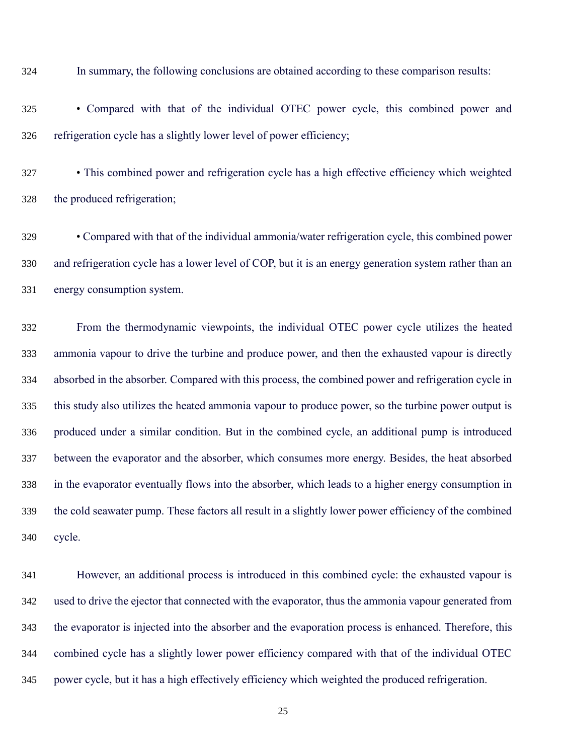In summary, the following conclusions are obtained according to these comparison results:

 • Compared with that of the individual OTEC power cycle, this combined power and refrigeration cycle has a slightly lower level of power efficiency;

 • This combined power and refrigeration cycle has a high effective efficiency which weighted the produced refrigeration;

 • Compared with that of the individual ammonia/water refrigeration cycle, this combined power and refrigeration cycle has a lower level of COP, but it is an energy generation system rather than an energy consumption system.

 From the thermodynamic viewpoints, the individual OTEC power cycle utilizes the heated ammonia vapour to drive the turbine and produce power, and then the exhausted vapour is directly absorbed in the absorber. Compared with this process, the combined power and refrigeration cycle in this study also utilizes the heated ammonia vapour to produce power, so the turbine power output is produced under a similar condition. But in the combined cycle, an additional pump is introduced between the evaporator and the absorber, which consumes more energy. Besides, the heat absorbed in the evaporator eventually flows into the absorber, which leads to a higher energy consumption in the cold seawater pump. These factors all result in a slightly lower power efficiency of the combined cycle.

 However, an additional process is introduced in this combined cycle: the exhausted vapour is used to drive the ejector that connected with the evaporator, thus the ammonia vapour generated from the evaporator is injected into the absorber and the evaporation process is enhanced. Therefore, this combined cycle has a slightly lower power efficiency compared with that of the individual OTEC power cycle, but it has a high effectively efficiency which weighted the produced refrigeration.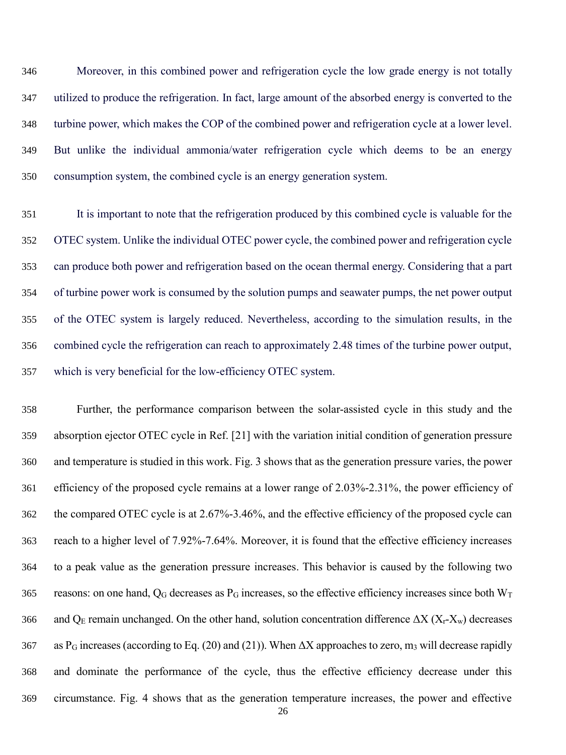Moreover, in this combined power and refrigeration cycle the low grade energy is not totally utilized to produce the refrigeration. In fact, large amount of the absorbed energy is converted to the turbine power, which makes the COP of the combined power and refrigeration cycle at a lower level. But unlike the individual ammonia/water refrigeration cycle which deems to be an energy consumption system, the combined cycle is an energy generation system.

 It is important to note that the refrigeration produced by this combined cycle is valuable for the OTEC system. Unlike the individual OTEC power cycle, the combined power and refrigeration cycle can produce both power and refrigeration based on the ocean thermal energy. Considering that a part of turbine power work is consumed by the solution pumps and seawater pumps, the net power output of the OTEC system is largely reduced. Nevertheless, according to the simulation results, in the combined cycle the refrigeration can reach to approximately 2.48 times of the turbine power output, which is very beneficial for the low-efficiency OTEC system.

 Further, the performance comparison between the solar-assisted cycle in this study and the absorption ejector OTEC cycle in Ref. [\[21\]](#page-39-4) with the variation initial condition of generation pressure and temperature is studied in this work. Fig. 3 shows that as the generation pressure varies, the power efficiency of the proposed cycle remains at a lower range of 2.03%-2.31%, the power efficiency of the compared OTEC cycle is at 2.67%-3.46%, and the effective efficiency of the proposed cycle can reach to a higher level of 7.92%-7.64%. Moreover, it is found that the effective efficiency increases to a peak value as the generation pressure increases. This behavior is caused by the following two 365 reasons: on one hand,  $Q_G$  decreases as P<sub>G</sub> increases, so the effective efficiency increases since both W<sub>T</sub> 366 and Q<sub>E</sub> remain unchanged. On the other hand, solution concentration difference  $\Delta X$  ( $X_r-X_w$ ) decreases 367 as P<sub>G</sub> increases (according to Eq. (20) and (21)). When  $\Delta X$  approaches to zero, m<sub>3</sub> will decrease rapidly and dominate the performance of the cycle, thus the effective efficiency decrease under this circumstance. Fig. 4 shows that as the generation temperature increases, the power and effective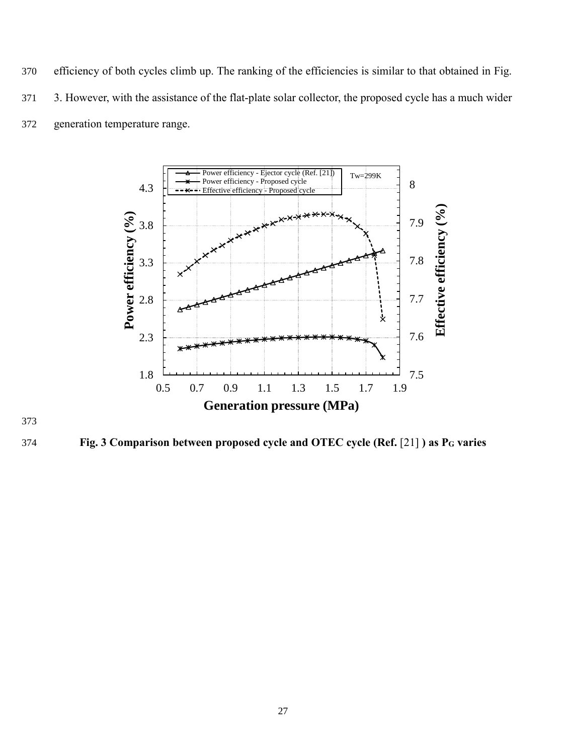370 efficiency of both cycles climb up. The ranking of the efficiencies is similar to that obtained in Fig. 371 3. However, with the assistance of the flat-plate solar collector, the proposed cycle has a much wider 372 generation temperature range.



373

374 **Fig. 3 Comparison between proposed cycle and OTEC cycle (Ref.** [\[21\]](#page-39-4) **) as P<sup>G</sup> varies**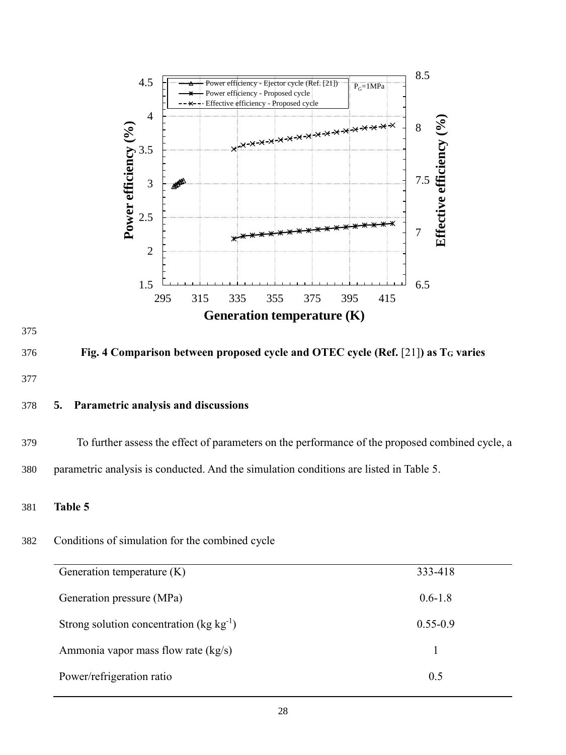

Power/refrigeration ratio 0.5

375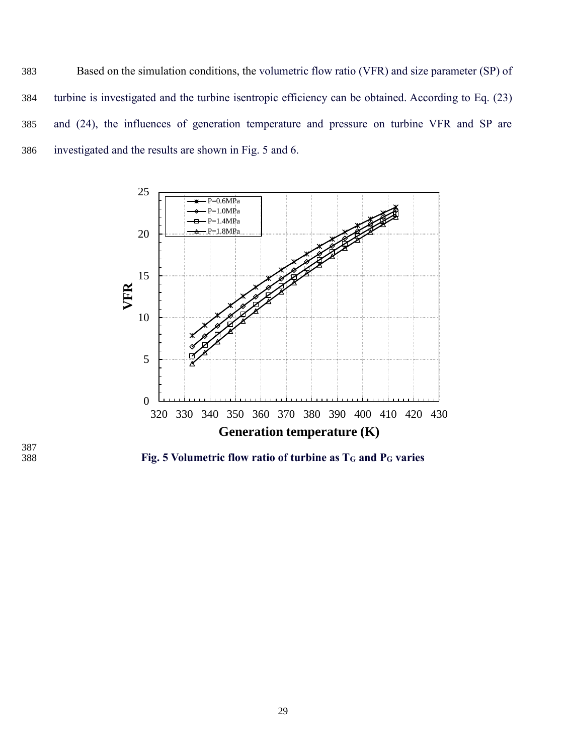Based on the simulation conditions, the volumetric flow ratio (VFR) and size parameter (SP) of turbine is investigated and the turbine isentropic efficiency can be obtained. According to Eq. (23) and (24), the influences of generation temperature and pressure on turbine VFR and SP are investigated and the results are shown in Fig. 5 and 6.



387<br>388

**Fig. 5 Volumetric flow ratio of turbine as T<sup>G</sup> and P<sup>G</sup> varies**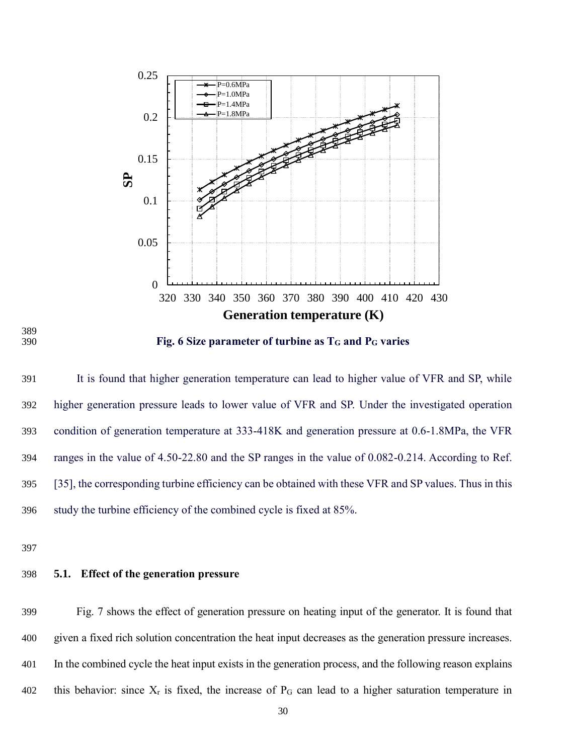

389

390 **Fig. 6 Size parameter of turbine as T<sup>G</sup> and P<sup>G</sup> varies**

 It is found that higher generation temperature can lead to higher value of VFR and SP, while higher generation pressure leads to lower value of VFR and SP. Under the investigated operation condition of generation temperature at 333-418K and generation pressure at 0.6-1.8MPa, the VFR ranges in the value of 4.50-22.80 and the SP ranges in the value of 0.082-0.214. According to Ref. [\[35\]](#page-39-18), the corresponding turbine efficiency can be obtained with these VFR and SP values. Thus in this study the turbine efficiency of the combined cycle is fixed at 85%.

397

## 398 **5.1. Effect of the generation pressure**

 Fig. 7 shows the effect of generation pressure on heating input of the generator. It is found that given a fixed rich solution concentration the heat input decreases as the generation pressure increases. In the combined cycle the heat input exists in the generation process, and the following reason explains 402 this behavior: since  $X_r$  is fixed, the increase of  $P_G$  can lead to a higher saturation temperature in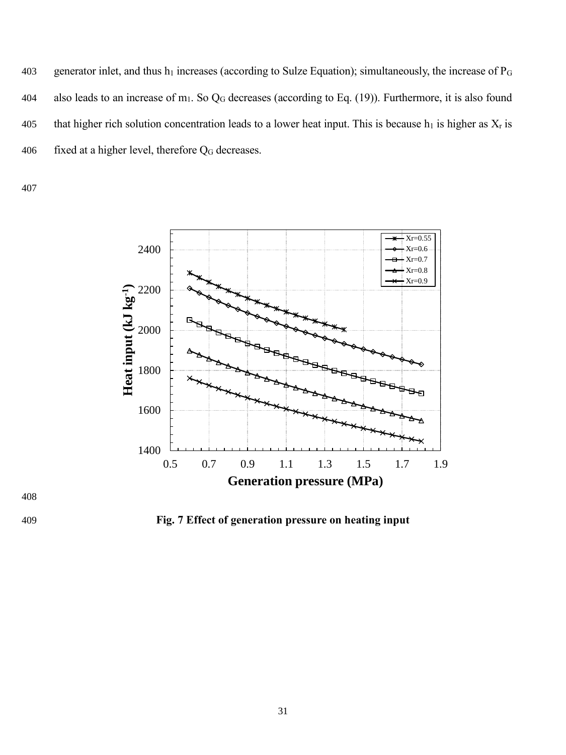403 generator inlet, and thus  $h_1$  increases (according to Sulze Equation); simultaneously, the increase of  $P_G$ 404 also leads to an increase of m<sub>1</sub>. So  $Q_G$  decreases (according to Eq. (19)). Furthermore, it is also found 405 that higher rich solution concentration leads to a lower heat input. This is because  $h_1$  is higher as  $X_r$  is 406 fixed at a higher level, therefore  $Q_G$  decreases.

407





409 **Fig. 7 Effect of generation pressure on heating input**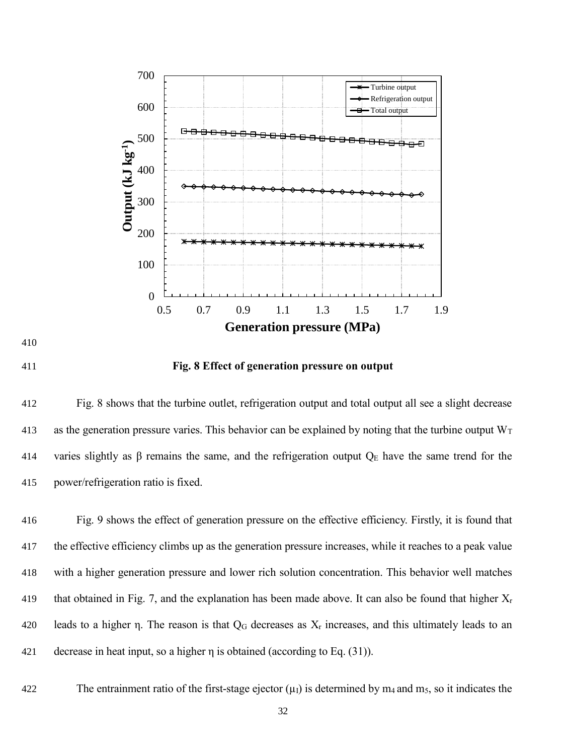



### **Fig. 8 Effect of generation pressure on output**

 Fig. 8 shows that the turbine outlet, refrigeration output and total output all see a slight decrease 413 as the generation pressure varies. This behavior can be explained by noting that the turbine output  $W_T$ 414 varies slightly as β remains the same, and the refrigeration output  $Q_E$  have the same trend for the power/refrigeration ratio is fixed.

 Fig. 9 shows the effect of generation pressure on the effective efficiency. Firstly, it is found that the effective efficiency climbs up as the generation pressure increases, while it reaches to a peak value with a higher generation pressure and lower rich solution concentration. This behavior well matches 419 that obtained in Fig. 7, and the explanation has been made above. It can also be found that higher  $X_r$ 420 leads to a higher η. The reason is that  $Q_G$  decreases as  $X_r$  increases, and this ultimately leads to an decrease in heat input, so a higher η is obtained (according to Eq. (31)).

422 The entrainment ratio of the first-stage ejector  $(\mu_I)$  is determined by m<sub>4</sub> and m<sub>5</sub>, so it indicates the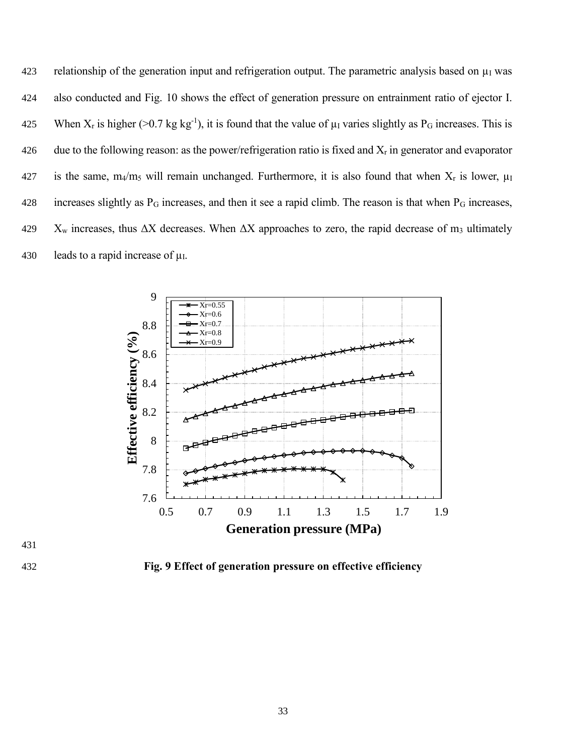423 relationship of the generation input and refrigeration output. The parametric analysis based on  $\mu_1$  was 424 also conducted and Fig. 10 shows the effect of generation pressure on entrainment ratio of ejector I. 425 When  $X_r$  is higher (>0.7 kg kg<sup>-1</sup>), it is found that the value of  $\mu_I$  varies slightly as P<sub>G</sub> increases. This is 426 due to the following reason: as the power/refrigeration ratio is fixed and  $X_r$  in generator and evaporator 427 is the same, m<sub>4</sub>/m<sub>5</sub> will remain unchanged. Furthermore, it is also found that when  $X_r$  is lower,  $\mu_I$ 428 increases slightly as P<sub>G</sub> increases, and then it see a rapid climb. The reason is that when P<sub>G</sub> increases, 429  $X_w$  increases, thus  $\Delta X$  decreases. When  $\Delta X$  approaches to zero, the rapid decrease of m<sub>3</sub> ultimately 430 leads to a rapid increase of  $\mu$ I.



431

432 **Fig. 9 Effect of generation pressure on effective efficiency**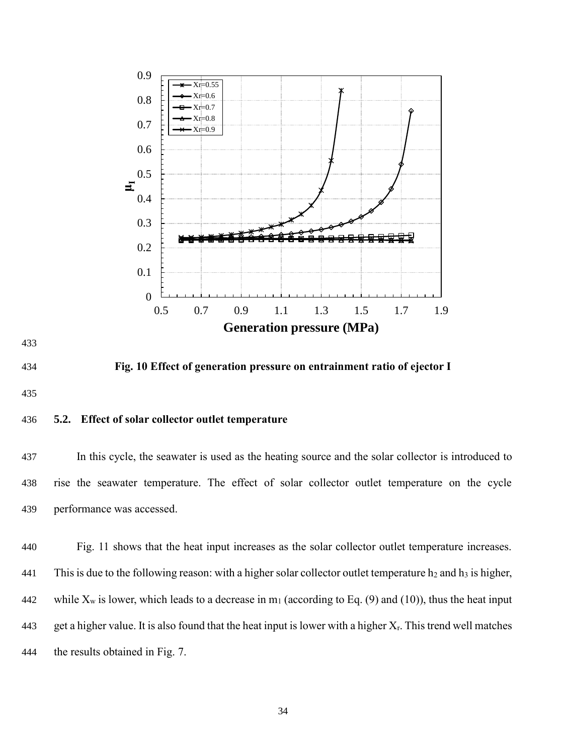



434 **Fig. 10 Effect of generation pressure on entrainment ratio of ejector I**

## 436 **5.2. Effect of solar collector outlet temperature**

437 In this cycle, the seawater is used as the heating source and the solar collector is introduced to 438 rise the seawater temperature. The effect of solar collector outlet temperature on the cycle 439 performance was accessed.

440 Fig. 11 shows that the heat input increases as the solar collector outlet temperature increases. 441 This is due to the following reason: with a higher solar collector outlet temperature  $h_2$  and  $h_3$  is higher, 442 while  $X_w$  is lower, which leads to a decrease in m<sub>1</sub> (according to Eq. (9) and (10)), thus the heat input 443 get a higher value. It is also found that the heat input is lower with a higher  $X_r$ . This trend well matches 444 the results obtained in Fig. 7.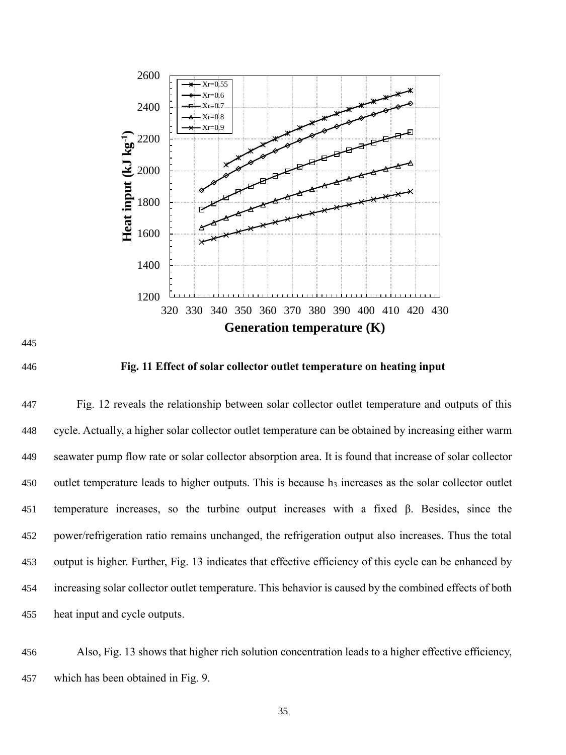



**Fig. 11 Effect of solar collector outlet temperature on heating input**

 Fig. 12 reveals the relationship between solar collector outlet temperature and outputs of this cycle. Actually, a higher solar collector outlet temperature can be obtained by increasing either warm seawater pump flow rate or solar collector absorption area. It is found that increase of solar collector 450 outlet temperature leads to higher outputs. This is because h<sub>3</sub> increases as the solar collector outlet temperature increases, so the turbine output increases with a fixed β. Besides, since the power/refrigeration ratio remains unchanged, the refrigeration output also increases. Thus the total output is higher. Further, Fig. 13 indicates that effective efficiency of this cycle can be enhanced by increasing solar collector outlet temperature. This behavior is caused by the combined effects of both heat input and cycle outputs.

 Also, Fig. 13 shows that higher rich solution concentration leads to a higher effective efficiency, which has been obtained in Fig. 9.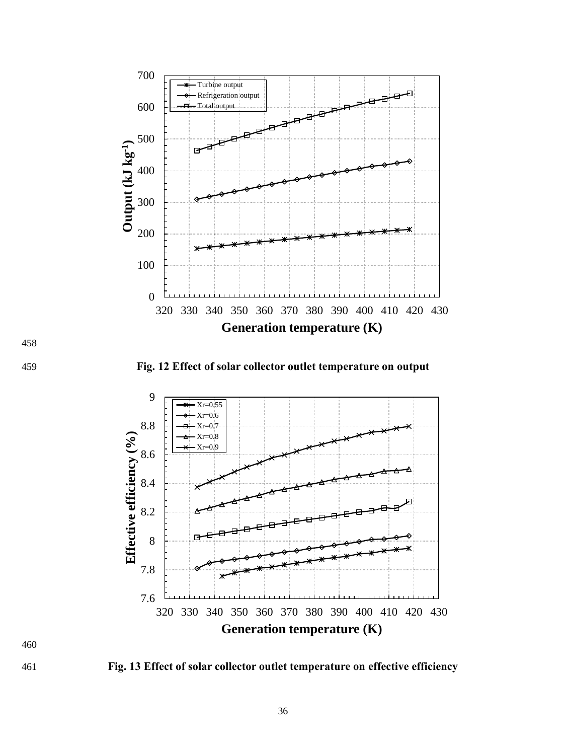

459 **Fig. 12 Effect of solar collector outlet temperature on output**



461 **Fig. 13 Effect of solar collector outlet temperature on effective efficiency**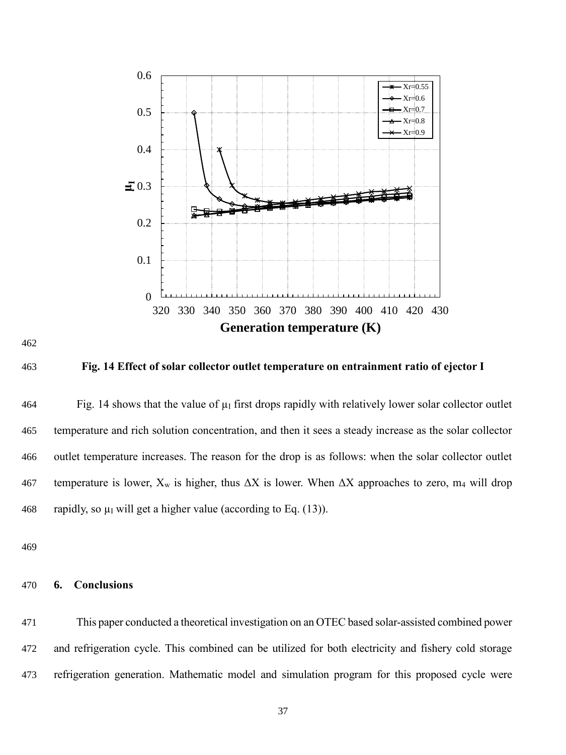





463 **Fig. 14 Effect of solar collector outlet temperature on entrainment ratio of ejector I**

 $464$  Fig. 14 shows that the value of  $\mu_I$  first drops rapidly with relatively lower solar collector outlet 465 temperature and rich solution concentration, and then it sees a steady increase as the solar collector 466 outlet temperature increases. The reason for the drop is as follows: when the solar collector outlet 467 temperature is lower,  $X_w$  is higher, thus  $\Delta X$  is lower. When  $\Delta X$  approaches to zero, m<sub>4</sub> will drop 468 rapidly, so  $\mu$ I will get a higher value (according to Eq. (13)).

469

### 470 **6. Conclusions**

471 This paper conducted a theoretical investigation on an OTEC based solar-assisted combined power 472 and refrigeration cycle. This combined can be utilized for both electricity and fishery cold storage 473 refrigeration generation. Mathematic model and simulation program for this proposed cycle were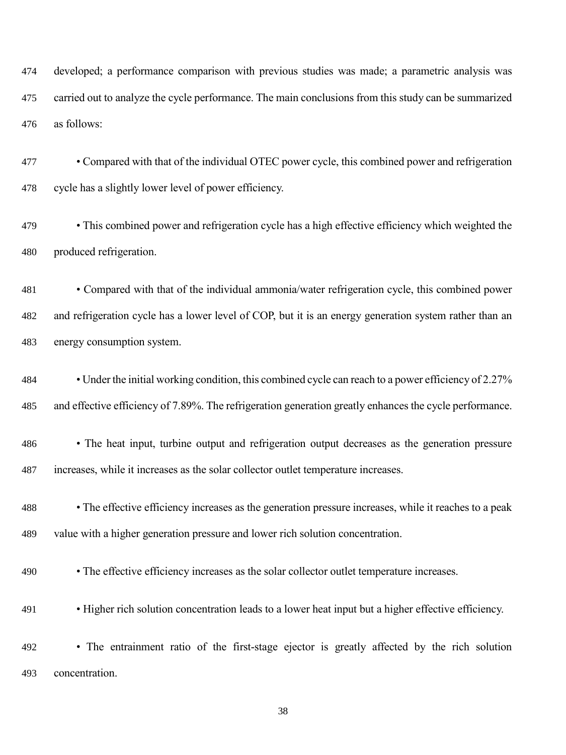developed; a performance comparison with previous studies was made; a parametric analysis was carried out to analyze the cycle performance. The main conclusions from this study can be summarized as follows:

 • Compared with that of the individual OTEC power cycle, this combined power and refrigeration cycle has a slightly lower level of power efficiency.

 • This combined power and refrigeration cycle has a high effective efficiency which weighted the produced refrigeration.

 • Compared with that of the individual ammonia/water refrigeration cycle, this combined power and refrigeration cycle has a lower level of COP, but it is an energy generation system rather than an energy consumption system.

 • Under the initial working condition, this combined cycle can reach to a power efficiency of 2.27% and effective efficiency of 7.89%. The refrigeration generation greatly enhances the cycle performance.

 • The heat input, turbine output and refrigeration output decreases as the generation pressure increases, while it increases as the solar collector outlet temperature increases.

 • The effective efficiency increases as the generation pressure increases, while it reaches to a peak value with a higher generation pressure and lower rich solution concentration.

• The effective efficiency increases as the solar collector outlet temperature increases.

• Higher rich solution concentration leads to a lower heat input but a higher effective efficiency.

 • The entrainment ratio of the first-stage ejector is greatly affected by the rich solution concentration.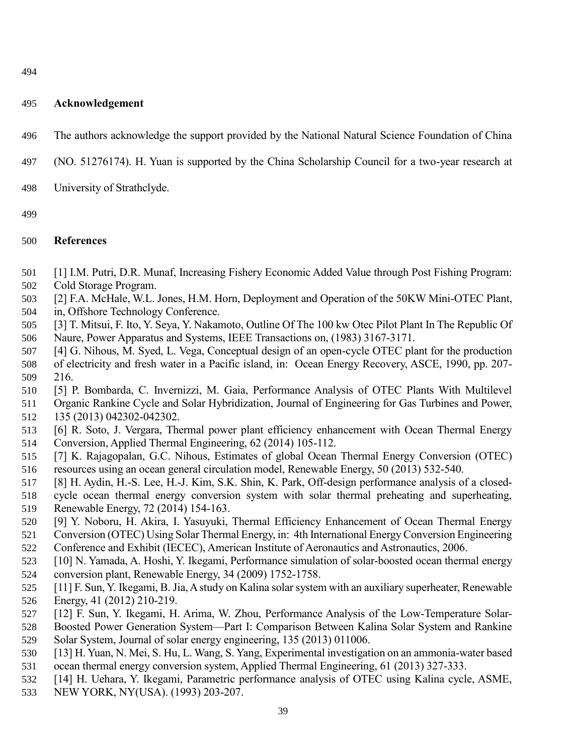# **Acknowledgement**

- The authors acknowledge the support provided by the National Natural Science Foundation of China
- (NO. 51276174). H. Yuan is supported by the China Scholarship Council for a two-year research at
- University of Strathclyde.
- 

# **References**

- <span id="page-38-0"></span>[1] I.M. Putri, D.R. Munaf, Increasing Fishery Economic Added Value through Post Fishing Program:
- Cold Storage Program.
- <span id="page-38-1"></span>[2] F.A. McHale, W.L. Jones, H.M. Horn, Deployment and Operation of the 50KW Mini-OTEC Plant,
- in, Offshore Technology Conference.
- [3] T. Mitsui, F. Ito, Y. Seya, Y. Nakamoto, Outline Of The 100 kw Otec Pilot Plant In The Republic Of Naure, Power Apparatus and Systems, IEEE Transactions on, (1983) 3167-3171.
- [4] G. Nihous, M. Syed, L. Vega, Conceptual design of an open-cycle OTEC plant for the production of electricity and fresh water in a Pacific island, in: Ocean Energy Recovery, ASCE, 1990, pp. 207- 216.
- [5] P. Bombarda, C. Invernizzi, M. Gaia, Performance Analysis of OTEC Plants With Multilevel
- Organic Rankine Cycle and Solar Hybridization, Journal of Engineering for Gas Turbines and Power, 135 (2013) 042302-042302.
- [6] R. Soto, J. Vergara, Thermal power plant efficiency enhancement with Ocean Thermal Energy Conversion, Applied Thermal Engineering, 62 (2014) 105-112.
- <span id="page-38-2"></span> [7] K. Rajagopalan, G.C. Nihous, Estimates of global Ocean Thermal Energy Conversion (OTEC) resources using an ocean general circulation model, Renewable Energy, 50 (2013) 532-540.
- <span id="page-38-3"></span>[8] H. Aydin, H.-S. Lee, H.-J. Kim, S.K. Shin, K. Park, Off-design performance analysis of a closed-
- cycle ocean thermal energy conversion system with solar thermal preheating and superheating,
- Renewable Energy, 72 (2014) 154-163.
- <span id="page-38-6"></span> [9] Y. Noboru, H. Akira, I. Yasuyuki, Thermal Efficiency Enhancement of Ocean Thermal Energy Conversion (OTEC) Using Solar Thermal Energy, in: 4th International Energy Conversion Engineering
- Conference and Exhibit (IECEC), American Institute of Aeronautics and Astronautics, 2006.
- [10] N. Yamada, A. Hoshi, Y. Ikegami, Performance simulation of solar-boosted ocean thermal energy conversion plant, Renewable Energy, 34 (2009) 1752-1758.
- [11] F. Sun, Y. Ikegami, B. Jia, A study on Kalina solar system with an auxiliary superheater, Renewable Energy, 41 (2012) 210-219.
- [12] F. Sun, Y. Ikegami, H. Arima, W. Zhou, Performance Analysis of the Low-Temperature Solar-
- Boosted Power Generation System—Part I: Comparison Between Kalina Solar System and Rankine
- Solar System, Journal of solar energy engineering, 135 (2013) 011006.
- <span id="page-38-4"></span> [13] H. Yuan, N. Mei, S. Hu, L. Wang, S. Yang, Experimental investigation on an ammonia-water based ocean thermal energy conversion system, Applied Thermal Engineering, 61 (2013) 327-333.
- <span id="page-38-5"></span>[14] H. Uehara, Y. Ikegami, Parametric performance analysis of OTEC using Kalina cycle, ASME,
- NEW YORK, NY(USA). (1993) 203-207.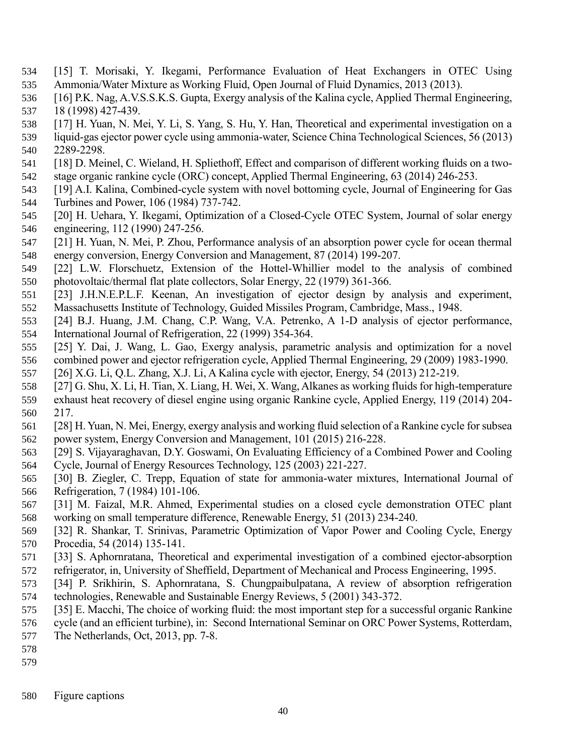- <span id="page-39-0"></span> [15] T. Morisaki, Y. Ikegami, Performance Evaluation of Heat Exchangers in OTEC Using Ammonia/Water Mixture as Working Fluid, Open Journal of Fluid Dynamics, 2013 (2013).
- <span id="page-39-1"></span> [16] P.K. Nag, A.V.S.S.K.S. Gupta, Exergy analysis of the Kalina cycle, Applied Thermal Engineering, 18 (1998) 427-439.
- [17] H. Yuan, N. Mei, Y. Li, S. Yang, S. Hu, Y. Han, Theoretical and experimental investigation on a
- liquid-gas ejector power cycle using ammonia-water, Science China Technological Sciences, 56 (2013) 2289-2298.
- [18] D. Meinel, C. Wieland, H. Spliethoff, Effect and comparison of different working fluids on a two-stage organic rankine cycle (ORC) concept, Applied Thermal Engineering, 63 (2014) 246-253.
- <span id="page-39-2"></span> [19] A.I. Kalina, Combined-cycle system with novel bottoming cycle, Journal of Engineering for Gas Turbines and Power, 106 (1984) 737-742.
- <span id="page-39-3"></span> [20] H. Uehara, Y. Ikegami, Optimization of a Closed-Cycle OTEC System, Journal of solar energy engineering, 112 (1990) 247-256.
- <span id="page-39-4"></span> [21] H. Yuan, N. Mei, P. Zhou, Performance analysis of an absorption power cycle for ocean thermal energy conversion, Energy Conversion and Management, 87 (2014) 199-207.
- <span id="page-39-5"></span> [22] L.W. Florschuetz, Extension of the Hottel-Whillier model to the analysis of combined photovoltaic/thermal flat plate collectors, Solar Energy, 22 (1979) 361-366.
- <span id="page-39-6"></span> [23] J.H.N.E.P.L.F. Keenan, An investigation of ejector design by analysis and experiment, Massachusetts Institute of Technology, Guided Missiles Program, Cambridge, Mass., 1948.
- <span id="page-39-7"></span> [24] B.J. Huang, J.M. Chang, C.P. Wang, V.A. Petrenko, A 1-D analysis of ejector performance, International Journal of Refrigeration, 22 (1999) 354-364.
- <span id="page-39-8"></span> [25] Y. Dai, J. Wang, L. Gao, Exergy analysis, parametric analysis and optimization for a novel combined power and ejector refrigeration cycle, Applied Thermal Engineering, 29 (2009) 1983-1990.
- <span id="page-39-9"></span>[26] X.G. Li, Q.L. Zhang, X.J. Li, A Kalina cycle with ejector, Energy, 54 (2013) 212-219.
- <span id="page-39-10"></span> [27] G. Shu, X. Li, H. Tian, X. Liang, H. Wei, X. Wang, Alkanes as working fluids for high-temperature exhaust heat recovery of diesel engine using organic Rankine cycle, Applied Energy, 119 (2014) 204- 217.
- <span id="page-39-11"></span> [28] H. Yuan, N. Mei, Energy, exergy analysis and working fluid selection of a Rankine cycle for subsea power system, Energy Conversion and Management, 101 (2015) 216-228.
- <span id="page-39-12"></span> [29] S. Vijayaraghavan, D.Y. Goswami, On Evaluating Efficiency of a Combined Power and Cooling Cycle, Journal of Energy Resources Technology, 125 (2003) 221-227.
- 
- <span id="page-39-13"></span> [30] B. Ziegler, C. Trepp, Equation of state for ammonia-water mixtures, International Journal of Refrigeration, 7 (1984) 101-106.
- <span id="page-39-14"></span> [31] M. Faizal, M.R. Ahmed, Experimental studies on a closed cycle demonstration OTEC plant working on small temperature difference, Renewable Energy, 51 (2013) 234-240.
- <span id="page-39-15"></span> [32] R. Shankar, T. Srinivas, Parametric Optimization of Vapor Power and Cooling Cycle, Energy Procedia, 54 (2014) 135-141.
- <span id="page-39-16"></span> [33] S. Aphornratana, Theoretical and experimental investigation of a combined ejector-absorption refrigerator, in, University of Sheffield, Department of Mechanical and Process Engineering, 1995.
- <span id="page-39-17"></span> [34] P. Srikhirin, S. Aphornratana, S. Chungpaibulpatana, A review of absorption refrigeration technologies, Renewable and Sustainable Energy Reviews, 5 (2001) 343-372.
- <span id="page-39-18"></span>[35] E. Macchi, The choice of working fluid: the most important step for a successful organic Rankine
- cycle (and an efficient turbine), in: Second International Seminar on ORC Power Systems, Rotterdam,
- The Netherlands, Oct, 2013, pp. 7-8.
- 
- 
- Figure captions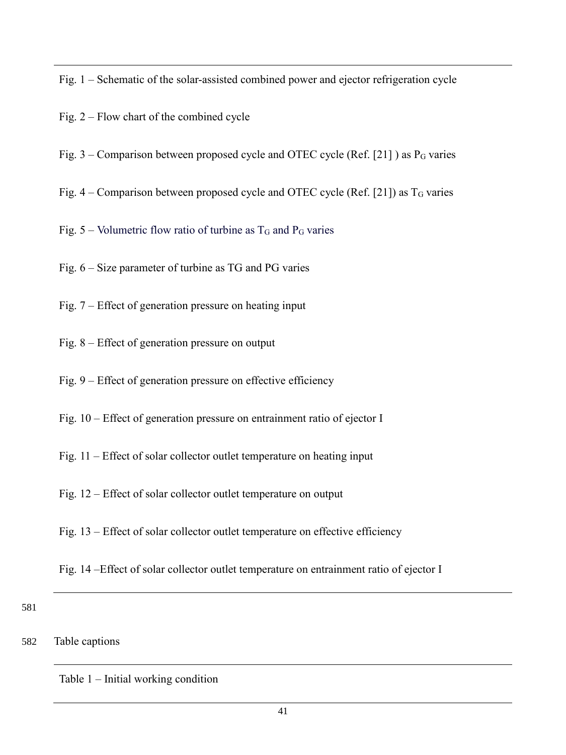Fig. 1 – Schematic of the solar-assisted combined power and ejector refrigeration cycle

- Fig. 2 Flow chart of the combined cycle
- Fig. 3 Comparison between proposed cycle and OTEC cycle (Ref. [\[21\]](#page-39-4)) as  $P_G$  varies
- Fig.  $4$  Comparison between proposed cycle and OTEC cycle (Ref. [\[21\]](#page-39-4)) as  $T<sub>G</sub>$  varies

Fig. 5 – Volumetric flow ratio of turbine as  $T_G$  and  $P_G$  varies

- Fig. 6 Size parameter of turbine as TG and PG varies
- Fig. 7 Effect of generation pressure on heating input
- Fig. 8 Effect of generation pressure on output
- Fig. 9 Effect of generation pressure on effective efficiency
- Fig. 10 Effect of generation pressure on entrainment ratio of ejector I
- Fig. 11 Effect of solar collector outlet temperature on heating input
- Fig. 12 Effect of solar collector outlet temperature on output
- Fig. 13 Effect of solar collector outlet temperature on effective efficiency
- Fig. 14 –Effect of solar collector outlet temperature on entrainment ratio of ejector I

581

# 582 Table captions

Table 1 – Initial working condition